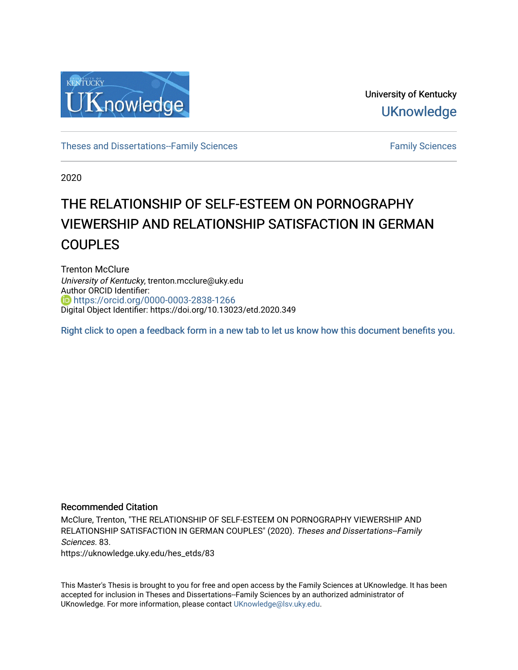

University of Kentucky **UKnowledge** 

[Theses and Dissertations--Family Sciences](https://uknowledge.uky.edu/hes_etds) [Family Sciences](https://uknowledge.uky.edu/hes) Family Sciences

2020

# THE RELATIONSHIP OF SELF-ESTEEM ON PORNOGRAPHY VIEWERSHIP AND RELATIONSHIP SATISFACTION IN GERMAN COUPLES

Trenton McClure University of Kentucky, trenton.mcclure@uky.edu Author ORCID Identifier: <https://orcid.org/0000-0003-2838-1266> Digital Object Identifier: https://doi.org/10.13023/etd.2020.349

[Right click to open a feedback form in a new tab to let us know how this document benefits you.](https://uky.az1.qualtrics.com/jfe/form/SV_9mq8fx2GnONRfz7)

## Recommended Citation

McClure, Trenton, "THE RELATIONSHIP OF SELF-ESTEEM ON PORNOGRAPHY VIEWERSHIP AND RELATIONSHIP SATISFACTION IN GERMAN COUPLES" (2020). Theses and Dissertations--Family Sciences. 83.

https://uknowledge.uky.edu/hes\_etds/83

This Master's Thesis is brought to you for free and open access by the Family Sciences at UKnowledge. It has been accepted for inclusion in Theses and Dissertations--Family Sciences by an authorized administrator of UKnowledge. For more information, please contact [UKnowledge@lsv.uky.edu](mailto:UKnowledge@lsv.uky.edu).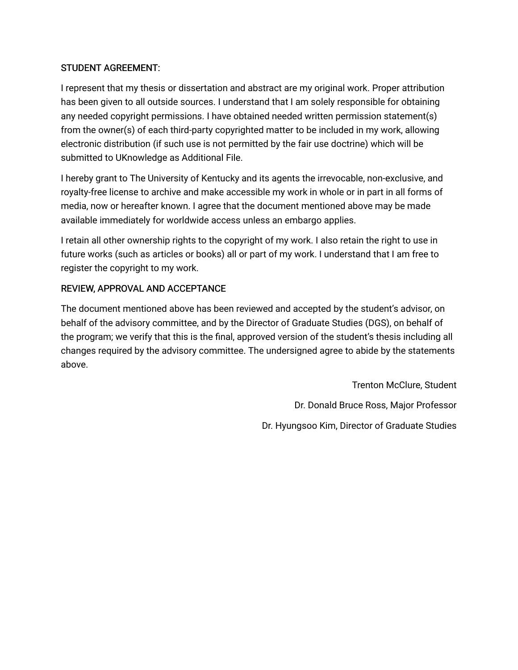# STUDENT AGREEMENT:

I represent that my thesis or dissertation and abstract are my original work. Proper attribution has been given to all outside sources. I understand that I am solely responsible for obtaining any needed copyright permissions. I have obtained needed written permission statement(s) from the owner(s) of each third-party copyrighted matter to be included in my work, allowing electronic distribution (if such use is not permitted by the fair use doctrine) which will be submitted to UKnowledge as Additional File.

I hereby grant to The University of Kentucky and its agents the irrevocable, non-exclusive, and royalty-free license to archive and make accessible my work in whole or in part in all forms of media, now or hereafter known. I agree that the document mentioned above may be made available immediately for worldwide access unless an embargo applies.

I retain all other ownership rights to the copyright of my work. I also retain the right to use in future works (such as articles or books) all or part of my work. I understand that I am free to register the copyright to my work.

# REVIEW, APPROVAL AND ACCEPTANCE

The document mentioned above has been reviewed and accepted by the student's advisor, on behalf of the advisory committee, and by the Director of Graduate Studies (DGS), on behalf of the program; we verify that this is the final, approved version of the student's thesis including all changes required by the advisory committee. The undersigned agree to abide by the statements above.

> Trenton McClure, Student Dr. Donald Bruce Ross, Major Professor Dr. Hyungsoo Kim, Director of Graduate Studies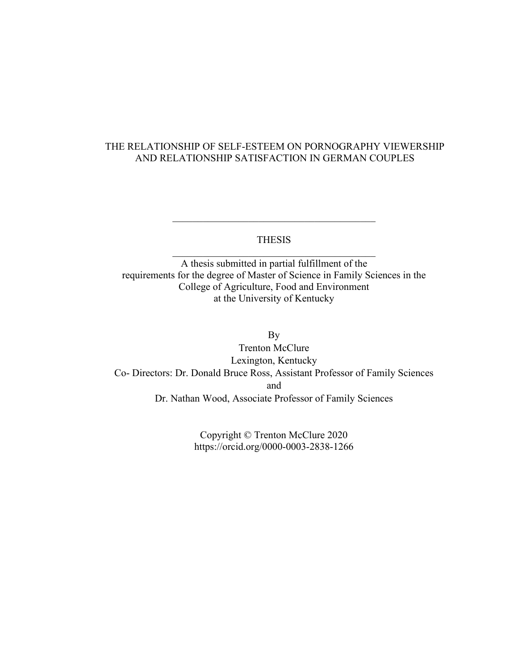# THE RELATIONSHIP OF SELF-ESTEEM ON PORNOGRAPHY VIEWERSHIP AND RELATIONSHIP SATISFACTION IN GERMAN COUPLES

## THESIS  $\overline{\mathcal{L}}$  , and the state of the state of the state of the state of the state of the state of the state of the state of the state of the state of the state of the state of the state of the state of the state of the stat

A thesis submitted in partial fulfillment of the requirements for the degree of Master of Science in Family Sciences in the College of Agriculture, Food and Environment at the University of Kentucky

By Trenton McClure Lexington, Kentucky Co- Directors: Dr. Donald Bruce Ross, Assistant Professor of Family Sciences and Dr. Nathan Wood, Associate Professor of Family Sciences

> Copyright © Trenton McClure 2020 https://orcid.org/0000-0003-2838-1266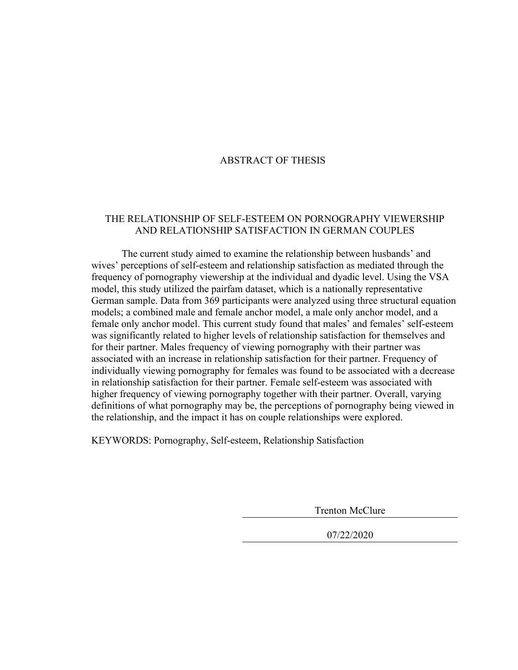## ABSTRACT OF THESIS

## THE RELATIONSHIP OF SELF-ESTEEM ON PORNOGRAPHY VIEWERSHIP AND RELATIONSHIP SATISFACTION IN GERMAN COUPLES

The current study aimed to examine the relationship between husbands' and wives' perceptions of self-esteem and relationship satisfaction as mediated through the frequency of pornography viewership at the individual and dyadic level. Using the VSA model, this study utilized the pairfam dataset, which is a nationally representative German sample. Data from 369 participants were analyzed using three structural equation models; a combined male and female anchor model, a male only anchor model, and a female only anchor model. This current study found that males' and females' self-esteem was significantly related to higher levels of relationship satisfaction for themselves and for their partner. Males frequency of viewing pornography with their partner was associated with an increase in relationship satisfaction for their partner. Frequency of individually viewing pornography for females was found to be associated with a decrease in relationship satisfaction for their partner. Female self-esteem was associated with higher frequency of viewing pornography together with their partner. Overall, varying definitions of what pornography may be, the perceptions of pornography being viewed in the relationship, and the impact it has on couple relationships were explored.

KEYWORDS: Pornography, Self-esteem, Relationship Satisfaction

Trenton McClure

07/22/2020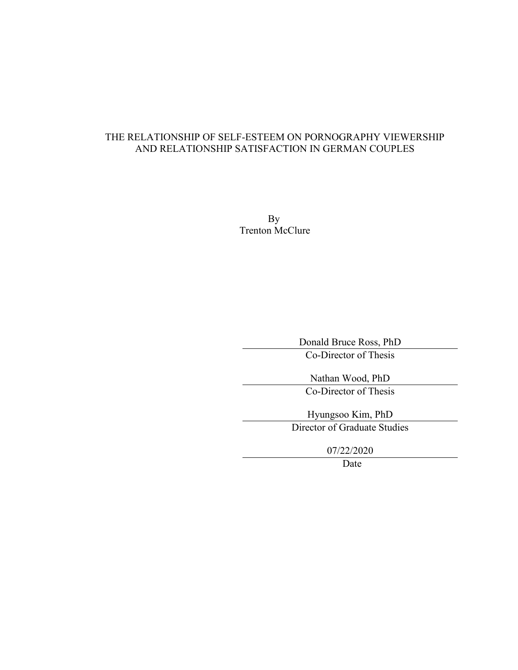# THE RELATIONSHIP OF SELF-ESTEEM ON PORNOGRAPHY VIEWERSHIP AND RELATIONSHIP SATISFACTION IN GERMAN COUPLES

By Trenton McClure

> Donald Bruce Ross, PhD Co-Director of Thesis

Nathan Wood, PhD Co-Director of Thesis

Hyungsoo Kim, PhD Director of Graduate Studies

07/22/2020

Date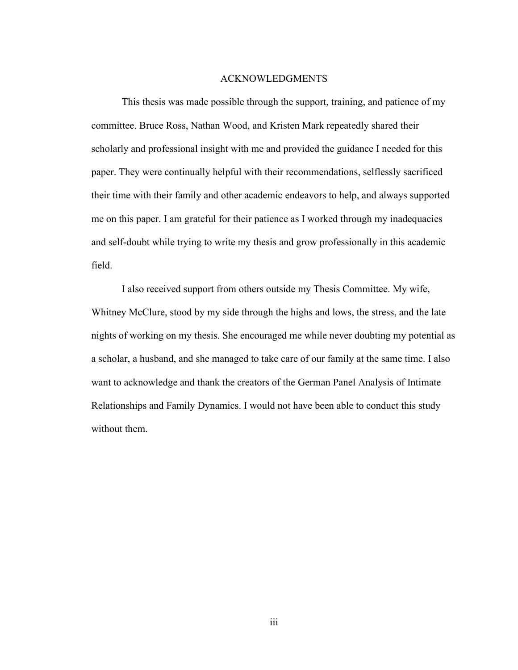#### ACKNOWLEDGMENTS

<span id="page-5-0"></span>This thesis was made possible through the support, training, and patience of my committee. Bruce Ross, Nathan Wood, and Kristen Mark repeatedly shared their scholarly and professional insight with me and provided the guidance I needed for this paper. They were continually helpful with their recommendations, selflessly sacrificed their time with their family and other academic endeavors to help, and always supported me on this paper. I am grateful for their patience as I worked through my inadequacies and self-doubt while trying to write my thesis and grow professionally in this academic field.

I also received support from others outside my Thesis Committee. My wife, Whitney McClure, stood by my side through the highs and lows, the stress, and the late nights of working on my thesis. She encouraged me while never doubting my potential as a scholar, a husband, and she managed to take care of our family at the same time. I also want to acknowledge and thank the creators of the German Panel Analysis of Intimate Relationships and Family Dynamics. I would not have been able to conduct this study without them.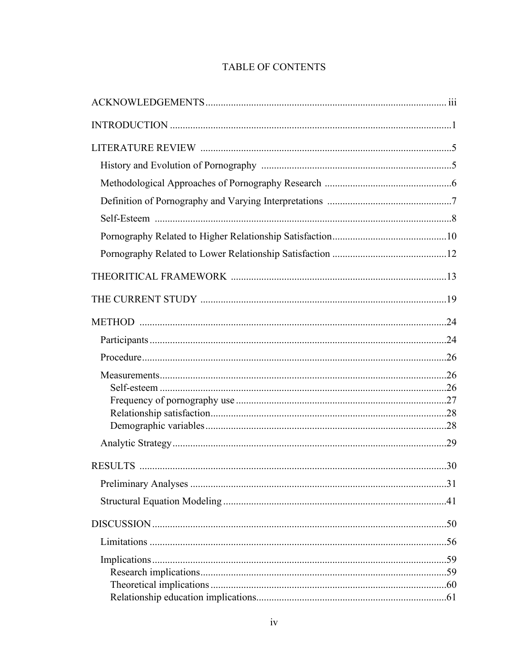# TABLE OF CONTENTS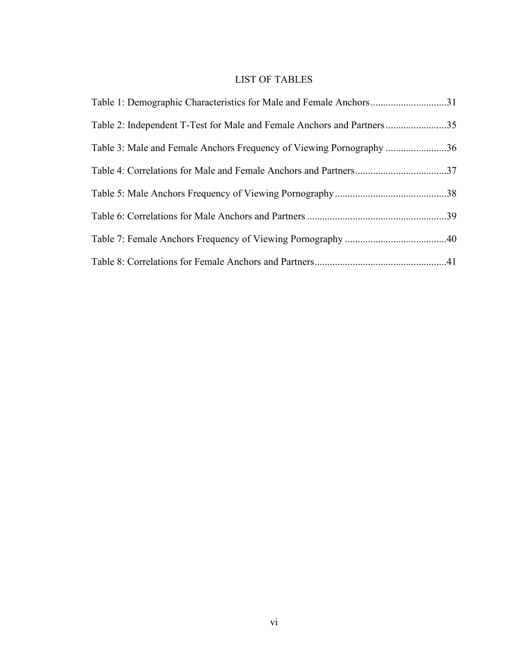# LIST OF TABLES

| Table 1: Demographic Characteristics for Male and Female Anchors31     |  |
|------------------------------------------------------------------------|--|
| Table 2: Independent T-Test for Male and Female Anchors and Partners35 |  |
| Table 3: Male and Female Anchors Frequency of Viewing Pornography 36   |  |
| Table 4: Correlations for Male and Female Anchors and Partners37       |  |
|                                                                        |  |
|                                                                        |  |
|                                                                        |  |
|                                                                        |  |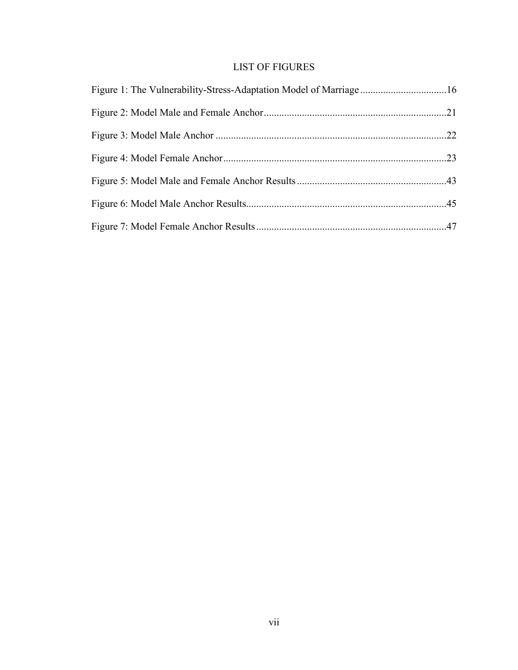# LIST OF FIGURES

| Figure 1: The Vulnerability-Stress-Adaptation Model of Marriage16 |  |
|-------------------------------------------------------------------|--|
|                                                                   |  |
|                                                                   |  |
|                                                                   |  |
|                                                                   |  |
|                                                                   |  |
|                                                                   |  |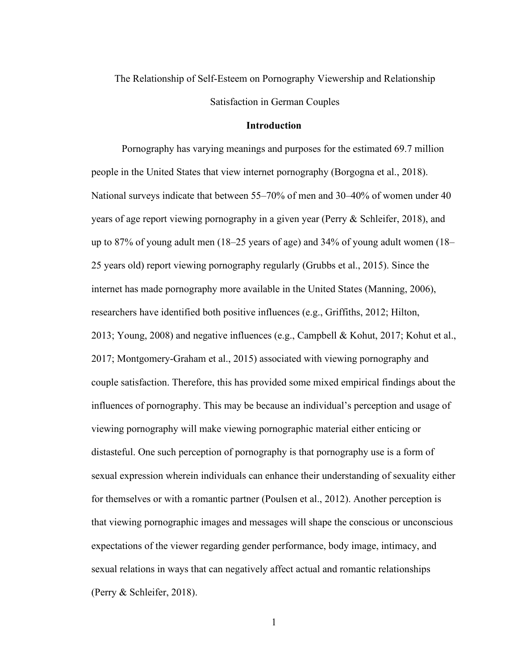# The Relationship of Self-Esteem on Pornography Viewership and Relationship Satisfaction in German Couples

## **Introduction**

Pornography has varying meanings and purposes for the estimated 69.7 million people in the United States that view internet pornography (Borgogna et al., 2018). National surveys indicate that between 55–70% of men and 30–40% of women under 40 years of age report viewing pornography in a given year (Perry & Schleifer, 2018), and up to 87% of young adult men (18–25 years of age) and 34% of young adult women (18– 25 years old) report viewing pornography regularly (Grubbs et al., 2015). Since the internet has made pornography more available in the United States (Manning, 2006), researchers have identified both positive influences (e.g., Griffiths, 2012; Hilton, 2013; Young, 2008) and negative influences (e.g., Campbell & Kohut, 2017; Kohut et al., 2017; Montgomery-Graham et al., 2015) associated with viewing pornography and couple satisfaction. Therefore, this has provided some mixed empirical findings about the influences of pornography. This may be because an individual's perception and usage of viewing pornography will make viewing pornographic material either enticing or distasteful. One such perception of pornography is that pornography use is a form of sexual expression wherein individuals can enhance their understanding of sexuality either for themselves or with a romantic partner (Poulsen et al., 2012). Another perception is that viewing pornographic images and messages will shape the conscious or unconscious expectations of the viewer regarding gender performance, body image, intimacy, and sexual relations in ways that can negatively affect actual and romantic relationships (Perry & Schleifer, 2018).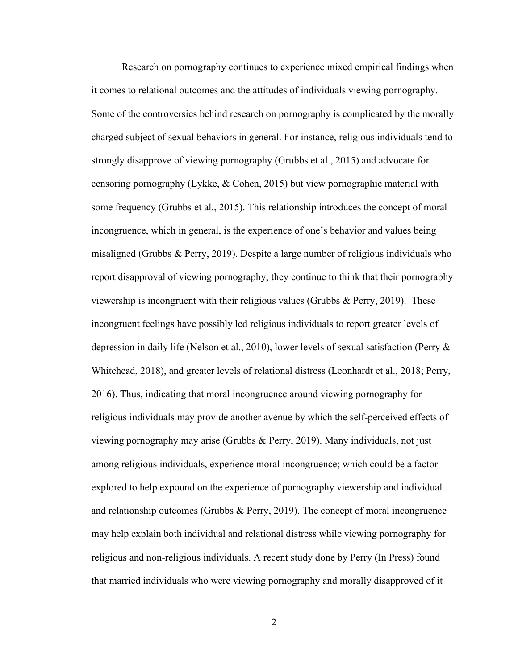Research on pornography continues to experience mixed empirical findings when it comes to relational outcomes and the attitudes of individuals viewing pornography. Some of the controversies behind research on pornography is complicated by the morally charged subject of sexual behaviors in general. For instance, religious individuals tend to strongly disapprove of viewing pornography (Grubbs et al., 2015) and advocate for censoring pornography (Lykke, & Cohen, 2015) but view pornographic material with some frequency (Grubbs et al., 2015). This relationship introduces the concept of moral incongruence, which in general, is the experience of one's behavior and values being misaligned (Grubbs & Perry, 2019). Despite a large number of religious individuals who report disapproval of viewing pornography, they continue to think that their pornography viewership is incongruent with their religious values (Grubbs & Perry, 2019). These incongruent feelings have possibly led religious individuals to report greater levels of depression in daily life (Nelson et al., 2010), lower levels of sexual satisfaction (Perry & Whitehead, 2018), and greater levels of relational distress (Leonhardt et al., 2018; Perry, 2016). Thus, indicating that moral incongruence around viewing pornography for religious individuals may provide another avenue by which the self-perceived effects of viewing pornography may arise (Grubbs & Perry, 2019). Many individuals, not just among religious individuals, experience moral incongruence; which could be a factor explored to help expound on the experience of pornography viewership and individual and relationship outcomes (Grubbs & Perry, 2019). The concept of moral incongruence may help explain both individual and relational distress while viewing pornography for religious and non-religious individuals. A recent study done by Perry (In Press) found that married individuals who were viewing pornography and morally disapproved of it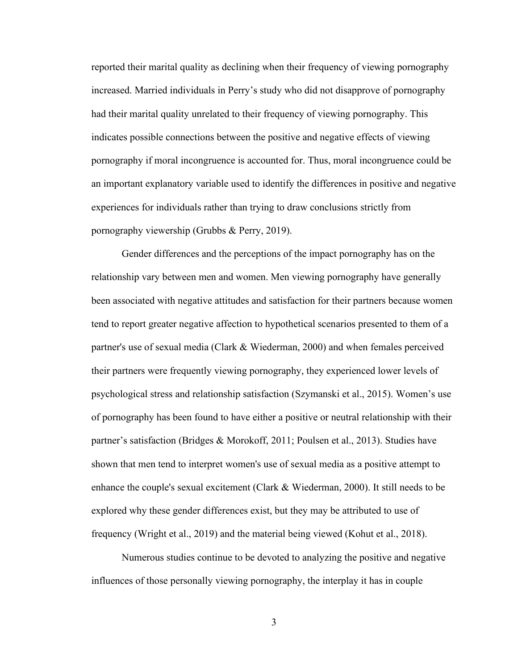reported their marital quality as declining when their frequency of viewing pornography increased. Married individuals in Perry's study who did not disapprove of pornography had their marital quality unrelated to their frequency of viewing pornography. This indicates possible connections between the positive and negative effects of viewing pornography if moral incongruence is accounted for. Thus, moral incongruence could be an important explanatory variable used to identify the differences in positive and negative experiences for individuals rather than trying to draw conclusions strictly from pornography viewership (Grubbs & Perry, 2019).

Gender differences and the perceptions of the impact pornography has on the relationship vary between men and women. Men viewing pornography have generally been associated with negative attitudes and satisfaction for their partners because women tend to report greater negative affection to hypothetical scenarios presented to them of a partner's use of sexual media (Clark & Wiederman, 2000) and when females perceived their partners were frequently viewing pornography, they experienced lower levels of psychological stress and relationship satisfaction (Szymanski et al., 2015). Women's use of pornography has been found to have either a positive or neutral relationship with their partner's satisfaction (Bridges & Morokoff, 2011; Poulsen et al., 2013). Studies have shown that men tend to interpret women's use of sexual media as a positive attempt to enhance the couple's sexual excitement (Clark & Wiederman, 2000). It still needs to be explored why these gender differences exist, but they may be attributed to use of frequency (Wright et al., 2019) and the material being viewed (Kohut et al., 2018).

Numerous studies continue to be devoted to analyzing the positive and negative influences of those personally viewing pornography, the interplay it has in couple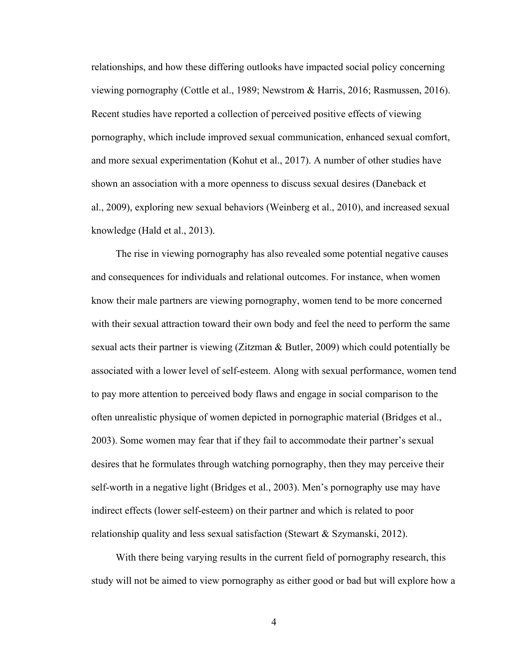relationships, and how these differing outlooks have impacted social policy concerning viewing pornography (Cottle et al., 1989; Newstrom & Harris, 2016; Rasmussen, 2016). Recent studies have reported a collection of perceived positive effects of viewing pornography, which include improved sexual communication, enhanced sexual comfort, and more sexual experimentation (Kohut et al., 2017). A number of other studies have shown an association with a more openness to discuss sexual desires (Daneback et al., 2009), exploring new sexual behaviors (Weinberg et al., 2010), and increased sexual knowledge (Hald et al., 2013).

The rise in viewing pornography has also revealed some potential negative causes and consequences for individuals and relational outcomes. For instance, when women know their male partners are viewing pornography, women tend to be more concerned with their sexual attraction toward their own body and feel the need to perform the same sexual acts their partner is viewing (Zitzman & Butler, 2009) which could potentially be associated with a lower level of self-esteem. Along with sexual performance, women tend to pay more attention to perceived body flaws and engage in social comparison to the often unrealistic physique of women depicted in pornographic material (Bridges et al., 2003). Some women may fear that if they fail to accommodate their partner's sexual desires that he formulates through watching pornography, then they may perceive their self-worth in a negative light (Bridges et al., 2003). Men's pornography use may have indirect effects (lower self-esteem) on their partner and which is related to poor relationship quality and less sexual satisfaction (Stewart & Szymanski, 2012).

With there being varying results in the current field of pornography research, this study will not be aimed to view pornography as either good or bad but will explore how a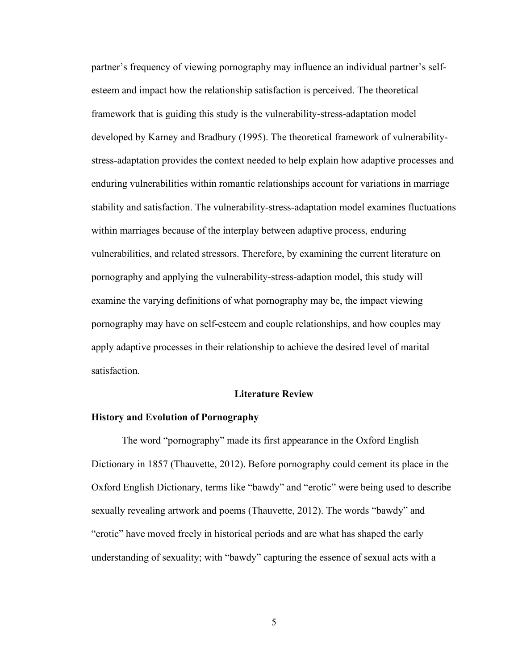<span id="page-14-0"></span>partner's frequency of viewing pornography may influence an individual partner's selfesteem and impact how the relationship satisfaction is perceived. The theoretical framework that is guiding this study is the vulnerability-stress-adaptation model developed by Karney and Bradbury (1995). The theoretical framework of vulnerabilitystress-adaptation provides the context needed to help explain how adaptive processes and enduring vulnerabilities within romantic relationships account for variations in marriage stability and satisfaction. The vulnerability-stress-adaptation model examines fluctuations within marriages because of the interplay between adaptive process, enduring vulnerabilities, and related stressors. Therefore, by examining the current literature on pornography and applying the vulnerability-stress-adaption model, this study will examine the varying definitions of what pornography may be, the impact viewing pornography may have on self-esteem and couple relationships, and how couples may apply adaptive processes in their relationship to achieve the desired level of marital satisfaction.

## **Literature Review**

#### **History and Evolution of Pornography**

The word "pornography" made its first appearance in the Oxford English Dictionary in 1857 (Thauvette, 2012). Before pornography could cement its place in the Oxford English Dictionary, terms like "bawdy" and "erotic" were being used to describe sexually revealing artwork and poems (Thauvette, 2012). The words "bawdy" and "erotic" have moved freely in historical periods and are what has shaped the early understanding of sexuality; with "bawdy" capturing the essence of sexual acts with a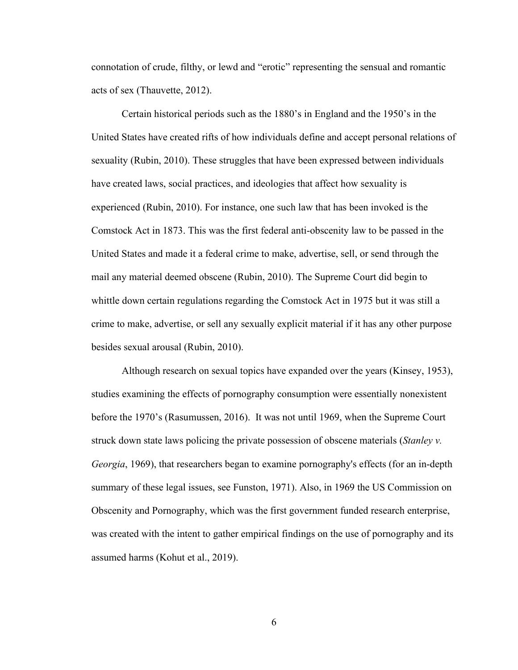connotation of crude, filthy, or lewd and "erotic" representing the sensual and romantic acts of sex (Thauvette, 2012).

Certain historical periods such as the 1880's in England and the 1950's in the United States have created rifts of how individuals define and accept personal relations of sexuality (Rubin, 2010). These struggles that have been expressed between individuals have created laws, social practices, and ideologies that affect how sexuality is experienced (Rubin, 2010). For instance, one such law that has been invoked is the Comstock Act in 1873. This was the first federal anti-obscenity law to be passed in the United States and made it a federal crime to make, advertise, sell, or send through the mail any material deemed obscene (Rubin, 2010). The Supreme Court did begin to whittle down certain regulations regarding the Comstock Act in 1975 but it was still a crime to make, advertise, or sell any sexually explicit material if it has any other purpose besides sexual arousal (Rubin, 2010).

Although research on sexual topics have expanded over the years (Kinsey, 1953), studies examining the effects of pornography consumption were essentially nonexistent before the 1970's (Rasumussen, 2016). It was not until 1969, when the Supreme Court struck down state laws policing the private possession of obscene materials (*Stanley v. Georgia*, 1969), that researchers began to examine pornography's effects (for an in-depth summary of these legal issues, see Funston, 1971). Also, in 1969 the US Commission on Obscenity and Pornography, which was the first government funded research enterprise, was created with the intent to gather empirical findings on the use of pornography and its assumed harms (Kohut et al., 2019).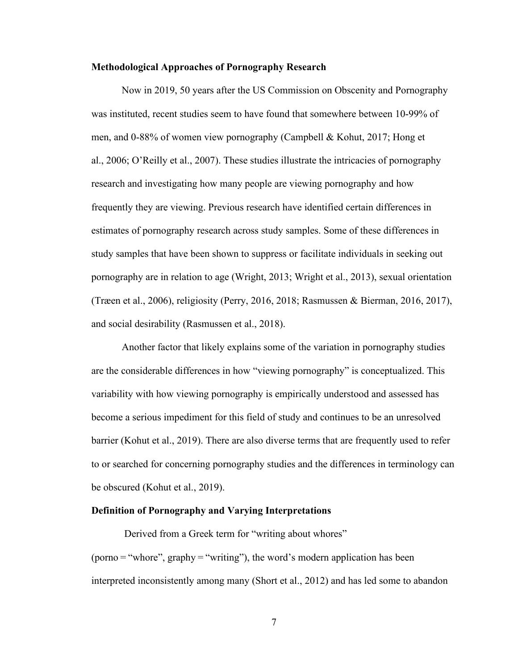#### <span id="page-16-0"></span>**Methodological Approaches of Pornography Research**

Now in 2019, 50 years after the US Commission on Obscenity and Pornography was instituted, recent studies seem to have found that somewhere between 10-99% of men, and 0-88% of women view pornography (Campbell & Kohut, 2017; Hong et al., 2006; O'Reilly et al., 2007). These studies illustrate the intricacies of pornography research and investigating how many people are viewing pornography and how frequently they are viewing. Previous research have identified certain differences in estimates of pornography research across study samples. Some of these differences in study samples that have been shown to suppress or facilitate individuals in seeking out pornography are in relation to age (Wright, 2013; Wright et al., 2013), sexual orientation (Træen et al., 2006), religiosity (Perry, 2016, 2018; Rasmussen & Bierman, 2016, 2017), and social desirability (Rasmussen et al., 2018).

 Another factor that likely explains some of the variation in pornography studies are the considerable differences in how "viewing pornography" is conceptualized. This variability with how viewing pornography is empirically understood and assessed has become a serious impediment for this field of study and continues to be an unresolved barrier (Kohut et al., 2019). There are also diverse terms that are frequently used to refer to or searched for concerning pornography studies and the differences in terminology can be obscured (Kohut et al., 2019).

## **Definition of Pornography and Varying Interpretations**

Derived from a Greek term for "writing about whores"  $(porno = "whore", graphy = "writing"), the word's modern application has been$ interpreted inconsistently among many (Short et al., 2012) and has led some to abandon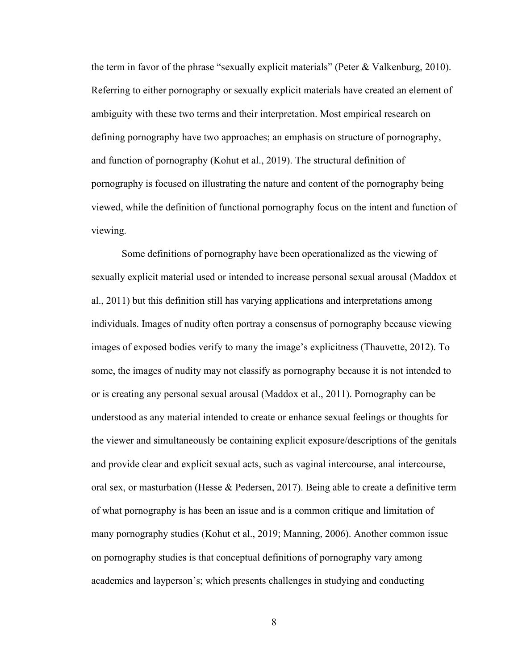the term in favor of the phrase "sexually explicit materials" (Peter & Valkenburg, 2010). Referring to either pornography or sexually explicit materials have created an element of ambiguity with these two terms and their interpretation. Most empirical research on defining pornography have two approaches; an emphasis on structure of pornography, and function of pornography (Kohut et al., 2019). The structural definition of pornography is focused on illustrating the nature and content of the pornography being viewed, while the definition of functional pornography focus on the intent and function of viewing.

Some definitions of pornography have been operationalized as the viewing of sexually explicit material used or intended to increase personal sexual arousal (Maddox et al., 2011) but this definition still has varying applications and interpretations among individuals. Images of nudity often portray a consensus of pornography because viewing images of exposed bodies verify to many the image's explicitness (Thauvette, 2012). To some, the images of nudity may not classify as pornography because it is not intended to or is creating any personal sexual arousal (Maddox et al., 2011). Pornography can be understood as any material intended to create or enhance sexual feelings or thoughts for the viewer and simultaneously be containing explicit exposure/descriptions of the genitals and provide clear and explicit sexual acts, such as vaginal intercourse, anal intercourse, oral sex, or masturbation (Hesse & Pedersen, 2017). Being able to create a definitive term of what pornography is has been an issue and is a common critique and limitation of many pornography studies (Kohut et al., 2019; Manning, 2006). Another common issue on pornography studies is that conceptual definitions of pornography vary among academics and layperson's; which presents challenges in studying and conducting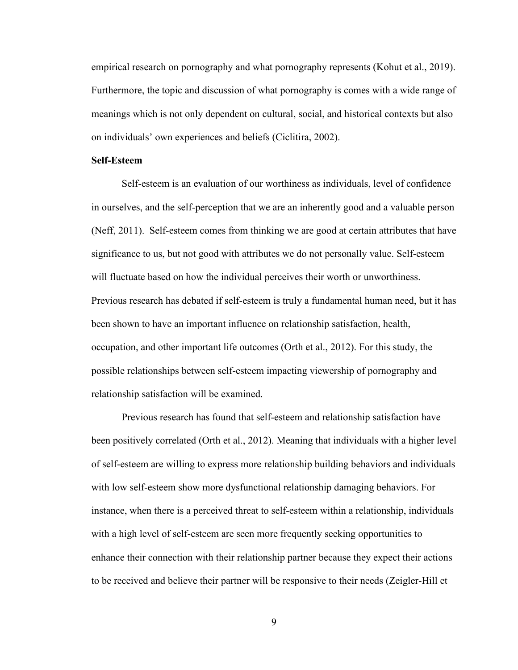<span id="page-18-0"></span>empirical research on pornography and what pornography represents (Kohut et al., 2019). Furthermore, the topic and discussion of what pornography is comes with a wide range of meanings which is not only dependent on cultural, social, and historical contexts but also on individuals' own experiences and beliefs (Ciclitira, 2002).

### **Self-Esteem**

Self-esteem is an evaluation of our worthiness as individuals, level of confidence in ourselves, and the self-perception that we are an inherently good and a valuable person (Neff, 2011). Self-esteem comes from thinking we are good at certain attributes that have significance to us, but not good with attributes we do not personally value. Self-esteem will fluctuate based on how the individual perceives their worth or unworthiness. Previous research has debated if self‐esteem is truly a fundamental human need, but it has been shown to have an important influence on relationship satisfaction, health, occupation, and other important life outcomes (Orth et al., 2012). For this study, the possible relationships between self-esteem impacting viewership of pornography and relationship satisfaction will be examined.

Previous research has found that self-esteem and relationship satisfaction have been positively correlated (Orth et al., 2012). Meaning that individuals with a higher level of self-esteem are willing to express more relationship building behaviors and individuals with low self-esteem show more dysfunctional relationship damaging behaviors. For instance, when there is a perceived threat to self-esteem within a relationship, individuals with a high level of self-esteem are seen more frequently seeking opportunities to enhance their connection with their relationship partner because they expect their actions to be received and believe their partner will be responsive to their needs (Zeigler-Hill et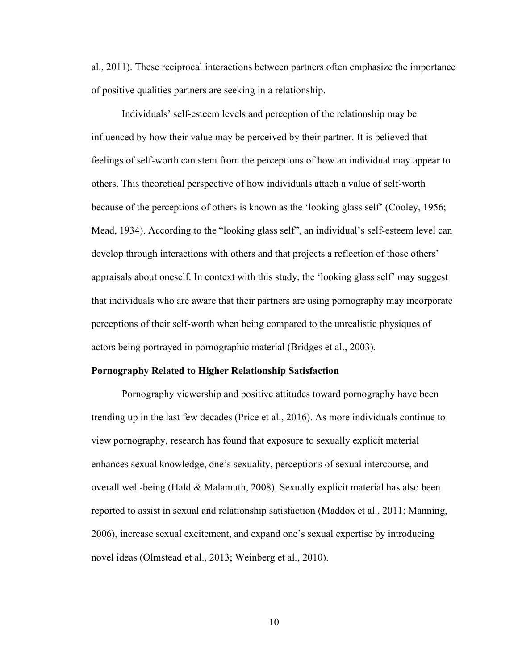<span id="page-19-0"></span>al., 2011). These reciprocal interactions between partners often emphasize the importance of positive qualities partners are seeking in a relationship.

Individuals' self-esteem levels and perception of the relationship may be influenced by how their value may be perceived by their partner. It is believed that feelings of self-worth can stem from the perceptions of how an individual may appear to others. This theoretical perspective of how individuals attach a value of self-worth because of the perceptions of others is known as the 'looking glass self' (Cooley, 1956; Mead, 1934). According to the "looking glass self", an individual's self-esteem level can develop through interactions with others and that projects a reflection of those others' appraisals about oneself. In context with this study, the 'looking glass self' may suggest that individuals who are aware that their partners are using pornography may incorporate perceptions of their self-worth when being compared to the unrealistic physiques of actors being portrayed in pornographic material (Bridges et al., 2003).

#### **Pornography Related to Higher Relationship Satisfaction**

Pornography viewership and positive attitudes toward pornography have been trending up in the last few decades (Price et al., 2016). As more individuals continue to view pornography, research has found that exposure to sexually explicit material enhances sexual knowledge, one's sexuality, perceptions of sexual intercourse, and overall well-being (Hald & Malamuth, 2008). Sexually explicit material has also been reported to assist in sexual and relationship satisfaction (Maddox et al., 2011; Manning, 2006), increase sexual excitement, and expand one's sexual expertise by introducing novel ideas (Olmstead et al., 2013; Weinberg et al., 2010).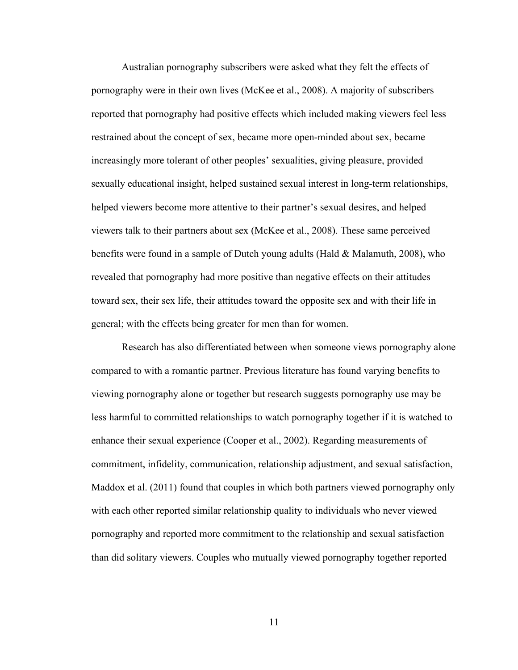Australian pornography subscribers were asked what they felt the effects of pornography were in their own lives (McKee et al., 2008). A majority of subscribers reported that pornography had positive effects which included making viewers feel less restrained about the concept of sex, became more open-minded about sex, became increasingly more tolerant of other peoples' sexualities, giving pleasure, provided sexually educational insight, helped sustained sexual interest in long-term relationships, helped viewers become more attentive to their partner's sexual desires, and helped viewers talk to their partners about sex (McKee et al., 2008). These same perceived benefits were found in a sample of Dutch young adults (Hald & Malamuth, 2008), who revealed that pornography had more positive than negative effects on their attitudes toward sex, their sex life, their attitudes toward the opposite sex and with their life in general; with the effects being greater for men than for women.

Research has also differentiated between when someone views pornography alone compared to with a romantic partner. Previous literature has found varying benefits to viewing pornography alone or together but research suggests pornography use may be less harmful to committed relationships to watch pornography together if it is watched to enhance their sexual experience (Cooper et al., 2002). Regarding measurements of commitment, infidelity, communication, relationship adjustment, and sexual satisfaction, Maddox et al. (2011) found that couples in which both partners viewed pornography only with each other reported similar relationship quality to individuals who never viewed pornography and reported more commitment to the relationship and sexual satisfaction than did solitary viewers. Couples who mutually viewed pornography together reported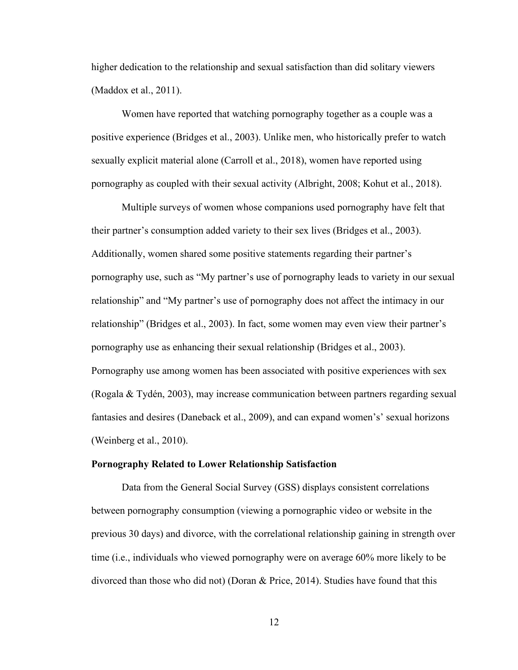<span id="page-21-0"></span>higher dedication to the relationship and sexual satisfaction than did solitary viewers (Maddox et al., 2011).

Women have reported that watching pornography together as a couple was a positive experience (Bridges et al., 2003). Unlike men, who historically prefer to watch sexually explicit material alone (Carroll et al., 2018), women have reported using pornography as coupled with their sexual activity (Albright, 2008; Kohut et al., 2018).

Multiple surveys of women whose companions used pornography have felt that their partner's consumption added variety to their sex lives (Bridges et al., 2003). Additionally, women shared some positive statements regarding their partner's pornography use, such as "My partner's use of pornography leads to variety in our sexual relationship" and "My partner's use of pornography does not affect the intimacy in our relationship" (Bridges et al., 2003). In fact, some women may even view their partner's pornography use as enhancing their sexual relationship (Bridges et al., 2003). Pornography use among women has been associated with positive experiences with sex (Rogala & Tydén, 2003), may increase communication between partners regarding sexual fantasies and desires (Daneback et al., 2009), and can expand women's' sexual horizons (Weinberg et al., 2010).

#### **Pornography Related to Lower Relationship Satisfaction**

Data from the General Social Survey (GSS) displays consistent correlations between pornography consumption (viewing a pornographic video or website in the previous 30 days) and divorce, with the correlational relationship gaining in strength over time (i.e., individuals who viewed pornography were on average 60% more likely to be divorced than those who did not) (Doran  $\&$  Price, 2014). Studies have found that this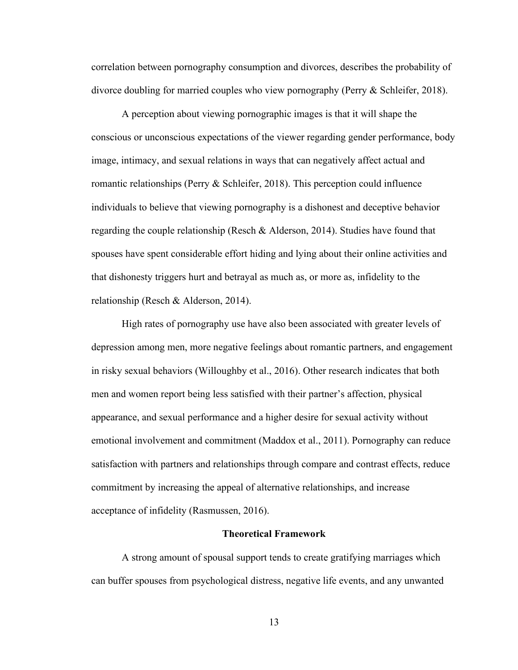correlation between pornography consumption and divorces, describes the probability of divorce doubling for married couples who view pornography (Perry & Schleifer, 2018).

A perception about viewing pornographic images is that it will shape the conscious or unconscious expectations of the viewer regarding gender performance, body image, intimacy, and sexual relations in ways that can negatively affect actual and romantic relationships (Perry & Schleifer, 2018). This perception could influence individuals to believe that viewing pornography is a dishonest and deceptive behavior regarding the couple relationship (Resch & Alderson, 2014). Studies have found that spouses have spent considerable effort hiding and lying about their online activities and that dishonesty triggers hurt and betrayal as much as, or more as, infidelity to the relationship (Resch & Alderson, 2014).

High rates of pornography use have also been associated with greater levels of depression among men, more negative feelings about romantic partners, and engagement in risky sexual behaviors (Willoughby et al., 2016). Other research indicates that both men and women report being less satisfied with their partner's affection, physical appearance, and sexual performance and a higher desire for sexual activity without emotional involvement and commitment (Maddox et al., 2011). Pornography can reduce satisfaction with partners and relationships through compare and contrast effects, reduce commitment by increasing the appeal of alternative relationships, and increase acceptance of infidelity (Rasmussen, 2016).

#### **Theoretical Framework**

A strong amount of spousal support tends to create gratifying marriages which can buffer spouses from psychological distress, negative life events, and any unwanted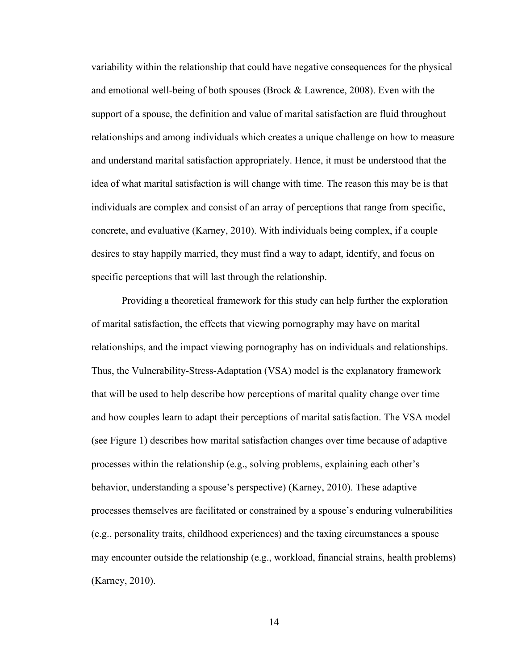<span id="page-23-0"></span>variability within the relationship that could have negative consequences for the physical and emotional well-being of both spouses (Brock & Lawrence, 2008). Even with the support of a spouse, the definition and value of marital satisfaction are fluid throughout relationships and among individuals which creates a unique challenge on how to measure and understand marital satisfaction appropriately. Hence, it must be understood that the idea of what marital satisfaction is will change with time. The reason this may be is that individuals are complex and consist of an array of perceptions that range from specific, concrete, and evaluative (Karney, 2010). With individuals being complex, if a couple desires to stay happily married, they must find a way to adapt, identify, and focus on specific perceptions that will last through the relationship.

Providing a theoretical framework for this study can help further the exploration of marital satisfaction, the effects that viewing pornography may have on marital relationships, and the impact viewing pornography has on individuals and relationships. Thus, the Vulnerability-Stress-Adaptation (VSA) model is the explanatory framework that will be used to help describe how perceptions of marital quality change over time and how couples learn to adapt their perceptions of marital satisfaction. The VSA model (see Figure 1) describes how marital satisfaction changes over time because of adaptive processes within the relationship (e.g., solving problems, explaining each other's behavior, understanding a spouse's perspective) (Karney, 2010). These adaptive processes themselves are facilitated or constrained by a spouse's enduring vulnerabilities (e.g., personality traits, childhood experiences) and the taxing circumstances a spouse may encounter outside the relationship (e.g., workload, financial strains, health problems) (Karney, 2010).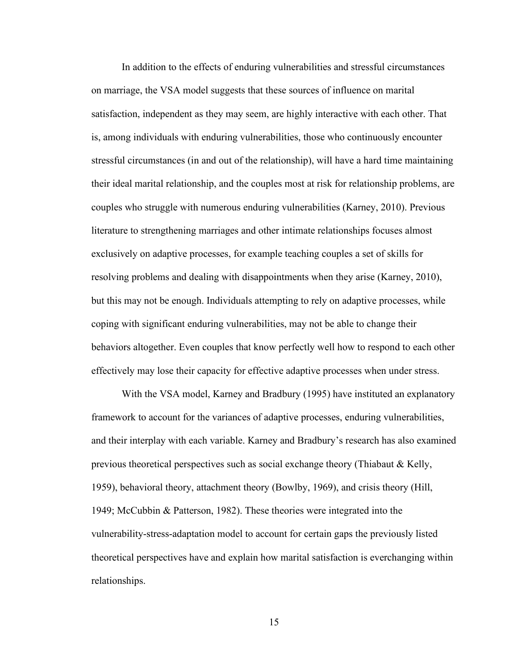In addition to the effects of enduring vulnerabilities and stressful circumstances on marriage, the VSA model suggests that these sources of influence on marital satisfaction, independent as they may seem, are highly interactive with each other. That is, among individuals with enduring vulnerabilities, those who continuously encounter stressful circumstances (in and out of the relationship), will have a hard time maintaining their ideal marital relationship, and the couples most at risk for relationship problems, are couples who struggle with numerous enduring vulnerabilities (Karney, 2010). Previous literature to strengthening marriages and other intimate relationships focuses almost exclusively on adaptive processes, for example teaching couples a set of skills for resolving problems and dealing with disappointments when they arise (Karney, 2010), but this may not be enough. Individuals attempting to rely on adaptive processes, while coping with significant enduring vulnerabilities, may not be able to change their behaviors altogether. Even couples that know perfectly well how to respond to each other effectively may lose their capacity for effective adaptive processes when under stress.

With the VSA model, Karney and Bradbury (1995) have instituted an explanatory framework to account for the variances of adaptive processes, enduring vulnerabilities, and their interplay with each variable. Karney and Bradbury's research has also examined previous theoretical perspectives such as social exchange theory (Thiabaut & Kelly, 1959), behavioral theory, attachment theory (Bowlby, 1969), and crisis theory (Hill, 1949; McCubbin & Patterson, 1982). These theories were integrated into the vulnerability-stress-adaptation model to account for certain gaps the previously listed theoretical perspectives have and explain how marital satisfaction is everchanging within relationships.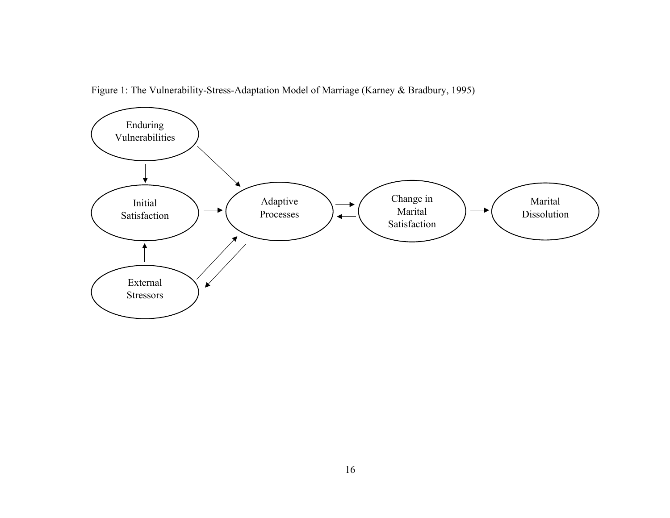<span id="page-25-0"></span>

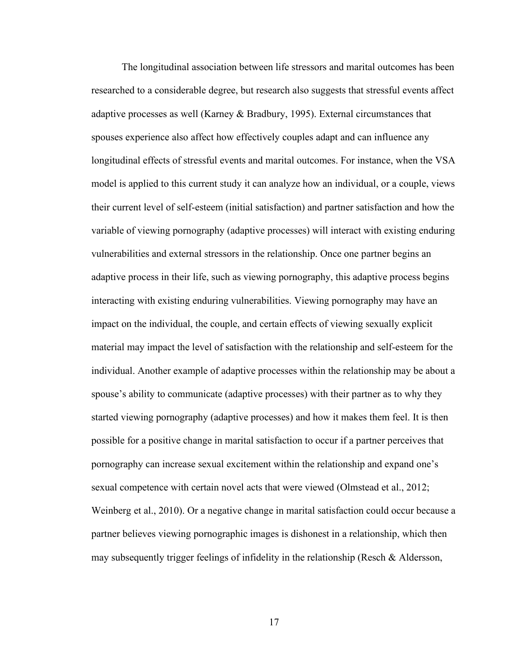The longitudinal association between life stressors and marital outcomes has been researched to a considerable degree, but research also suggests that stressful events affect adaptive processes as well (Karney & Bradbury, 1995). External circumstances that spouses experience also affect how effectively couples adapt and can influence any longitudinal effects of stressful events and marital outcomes. For instance, when the VSA model is applied to this current study it can analyze how an individual, or a couple, views their current level of self-esteem (initial satisfaction) and partner satisfaction and how the variable of viewing pornography (adaptive processes) will interact with existing enduring vulnerabilities and external stressors in the relationship. Once one partner begins an adaptive process in their life, such as viewing pornography, this adaptive process begins interacting with existing enduring vulnerabilities. Viewing pornography may have an impact on the individual, the couple, and certain effects of viewing sexually explicit material may impact the level of satisfaction with the relationship and self-esteem for the individual. Another example of adaptive processes within the relationship may be about a spouse's ability to communicate (adaptive processes) with their partner as to why they started viewing pornography (adaptive processes) and how it makes them feel. It is then possible for a positive change in marital satisfaction to occur if a partner perceives that pornography can increase sexual excitement within the relationship and expand one's sexual competence with certain novel acts that were viewed (Olmstead et al., 2012; Weinberg et al., 2010). Or a negative change in marital satisfaction could occur because a partner believes viewing pornographic images is dishonest in a relationship, which then may subsequently trigger feelings of infidelity in the relationship (Resch & Aldersson,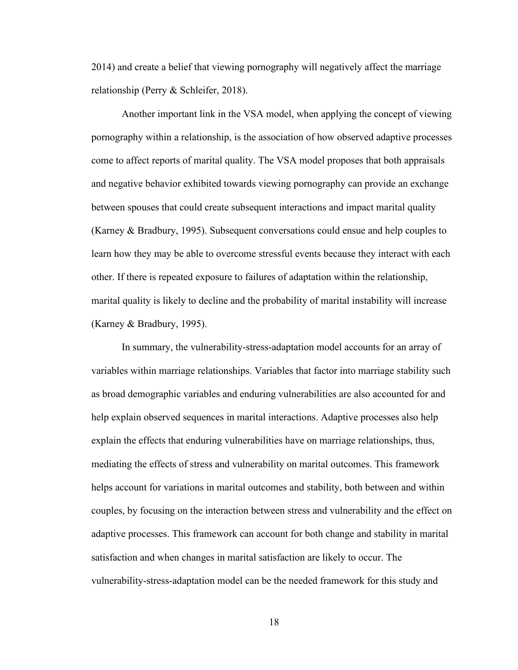2014) and create a belief that viewing pornography will negatively affect the marriage relationship (Perry & Schleifer, 2018).

Another important link in the VSA model, when applying the concept of viewing pornography within a relationship, is the association of how observed adaptive processes come to affect reports of marital quality. The VSA model proposes that both appraisals and negative behavior exhibited towards viewing pornography can provide an exchange between spouses that could create subsequent interactions and impact marital quality (Karney & Bradbury, 1995). Subsequent conversations could ensue and help couples to learn how they may be able to overcome stressful events because they interact with each other. If there is repeated exposure to failures of adaptation within the relationship, marital quality is likely to decline and the probability of marital instability will increase (Karney & Bradbury, 1995).

In summary, the vulnerability-stress-adaptation model accounts for an array of variables within marriage relationships. Variables that factor into marriage stability such as broad demographic variables and enduring vulnerabilities are also accounted for and help explain observed sequences in marital interactions. Adaptive processes also help explain the effects that enduring vulnerabilities have on marriage relationships, thus, mediating the effects of stress and vulnerability on marital outcomes. This framework helps account for variations in marital outcomes and stability, both between and within couples, by focusing on the interaction between stress and vulnerability and the effect on adaptive processes. This framework can account for both change and stability in marital satisfaction and when changes in marital satisfaction are likely to occur. The vulnerability-stress-adaptation model can be the needed framework for this study and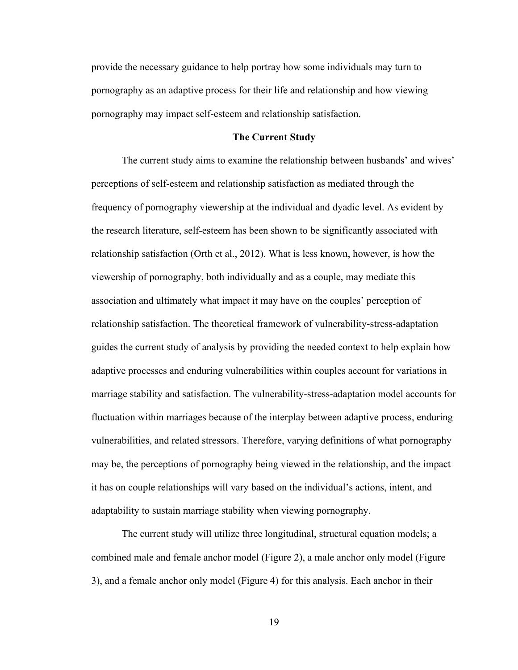<span id="page-28-0"></span>provide the necessary guidance to help portray how some individuals may turn to pornography as an adaptive process for their life and relationship and how viewing pornography may impact self-esteem and relationship satisfaction.

#### **The Current Study**

The current study aims to examine the relationship between husbands' and wives' perceptions of self-esteem and relationship satisfaction as mediated through the frequency of pornography viewership at the individual and dyadic level. As evident by the research literature, self-esteem has been shown to be significantly associated with relationship satisfaction (Orth et al., 2012). What is less known, however, is how the viewership of pornography, both individually and as a couple, may mediate this association and ultimately what impact it may have on the couples' perception of relationship satisfaction. The theoretical framework of vulnerability-stress-adaptation guides the current study of analysis by providing the needed context to help explain how adaptive processes and enduring vulnerabilities within couples account for variations in marriage stability and satisfaction. The vulnerability-stress-adaptation model accounts for fluctuation within marriages because of the interplay between adaptive process, enduring vulnerabilities, and related stressors. Therefore, varying definitions of what pornography may be, the perceptions of pornography being viewed in the relationship, and the impact it has on couple relationships will vary based on the individual's actions, intent, and adaptability to sustain marriage stability when viewing pornography.

The current study will utilize three longitudinal, structural equation models; a combined male and female anchor model (Figure 2), a male anchor only model (Figure 3), and a female anchor only model (Figure 4) for this analysis. Each anchor in their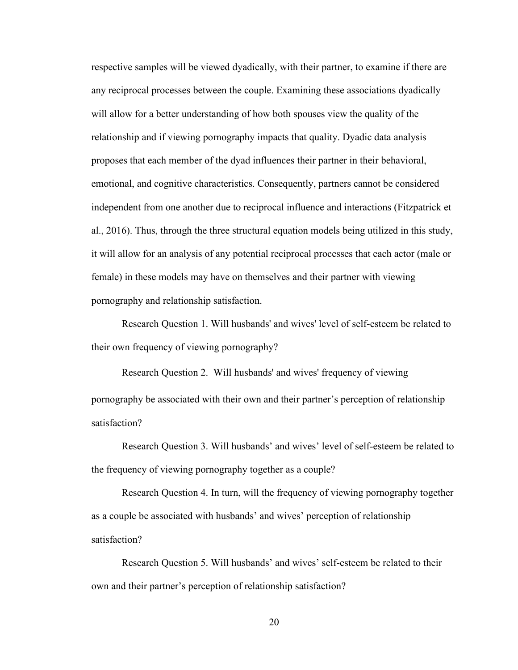respective samples will be viewed dyadically, with their partner, to examine if there are any reciprocal processes between the couple. Examining these associations dyadically will allow for a better understanding of how both spouses view the quality of the relationship and if viewing pornography impacts that quality. Dyadic data analysis proposes that each member of the dyad influences their partner in their behavioral, emotional, and cognitive characteristics. Consequently, partners cannot be considered independent from one another due to reciprocal influence and interactions (Fitzpatrick et al., 2016). Thus, through the three structural equation models being utilized in this study, it will allow for an analysis of any potential reciprocal processes that each actor (male or female) in these models may have on themselves and their partner with viewing pornography and relationship satisfaction.

Research Question 1. Will husbands' and wives' level of self-esteem be related to their own frequency of viewing pornography?

Research Question 2. Will husbands' and wives' frequency of viewing pornography be associated with their own and their partner's perception of relationship satisfaction?

Research Question 3. Will husbands' and wives' level of self-esteem be related to the frequency of viewing pornography together as a couple?

Research Question 4. In turn, will the frequency of viewing pornography together as a couple be associated with husbands' and wives' perception of relationship satisfaction?

Research Question 5. Will husbands' and wives' self-esteem be related to their own and their partner's perception of relationship satisfaction?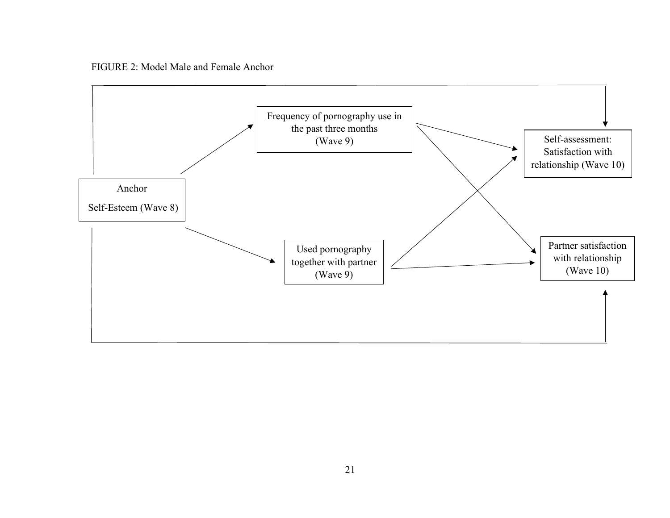FIGURE 2: Model Male and Female Anchor

<span id="page-30-0"></span>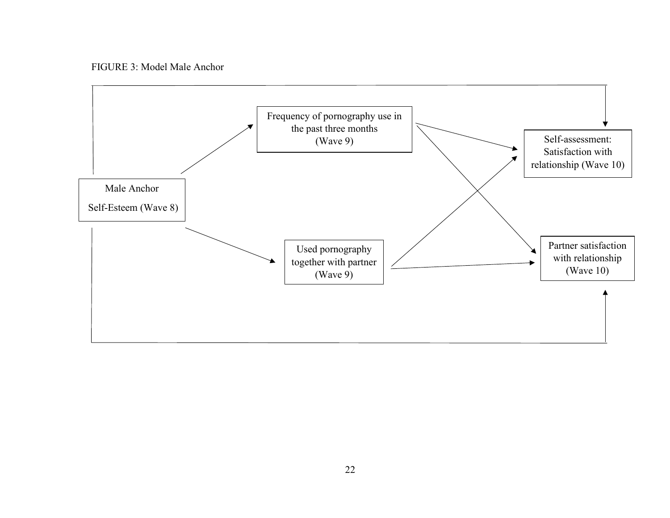FIGURE 3: Model Male Anchor

<span id="page-31-0"></span>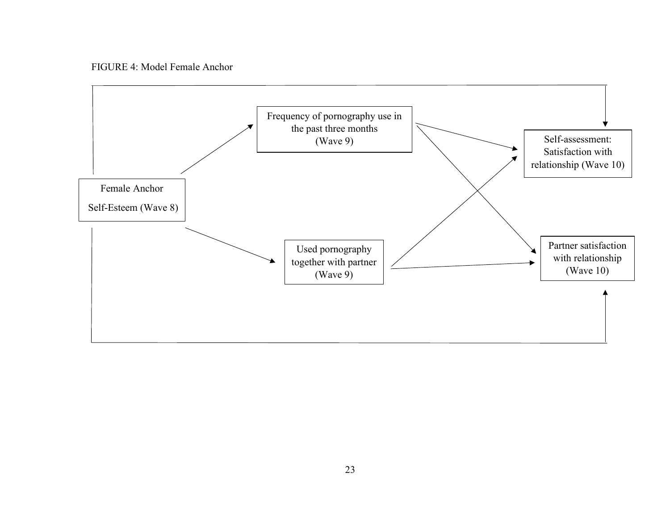FIGURE 4: Model Female Anchor

<span id="page-32-0"></span>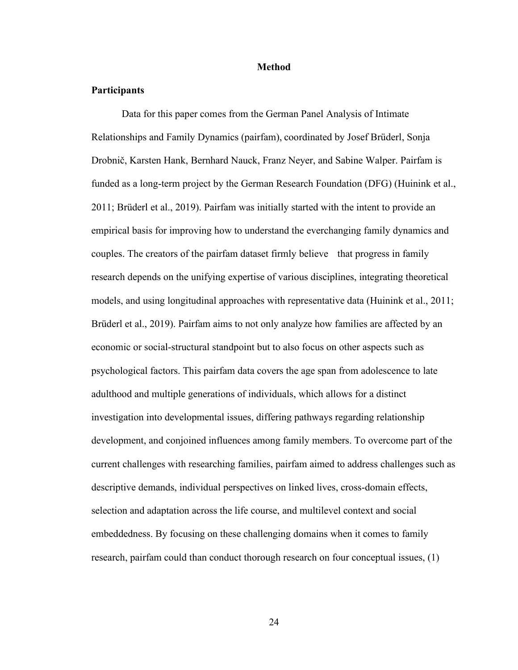#### **Method**

## <span id="page-33-0"></span>**Participants**

Data for this paper comes from the German Panel Analysis of Intimate Relationships and Family Dynamics (pairfam), coordinated by Josef Brüderl, Sonja Drobnič, Karsten Hank, Bernhard Nauck, Franz Neyer, and Sabine Walper. Pairfam is funded as a long-term project by the German Research Foundation (DFG) (Huinink et al., 2011; Brüderl et al., 2019). Pairfam was initially started with the intent to provide an empirical basis for improving how to understand the everchanging family dynamics and couples. The creators of the pairfam dataset firmly believe that progress in family research depends on the unifying expertise of various disciplines, integrating theoretical models, and using longitudinal approaches with representative data (Huinink et al., 2011; Brüderl et al., 2019). Pairfam aims to not only analyze how families are affected by an economic or social-structural standpoint but to also focus on other aspects such as psychological factors. This pairfam data covers the age span from adolescence to late adulthood and multiple generations of individuals, which allows for a distinct investigation into developmental issues, differing pathways regarding relationship development, and conjoined influences among family members. To overcome part of the current challenges with researching families, pairfam aimed to address challenges such as descriptive demands, individual perspectives on linked lives, cross-domain effects, selection and adaptation across the life course, and multilevel context and social embeddedness. By focusing on these challenging domains when it comes to family research, pairfam could than conduct thorough research on four conceptual issues, (1)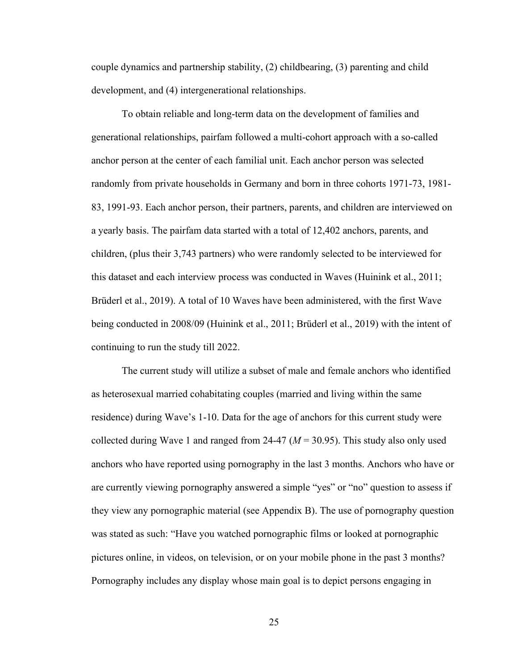couple dynamics and partnership stability, (2) childbearing, (3) parenting and child development, and (4) intergenerational relationships.

To obtain reliable and long-term data on the development of families and generational relationships, pairfam followed a multi-cohort approach with a so-called anchor person at the center of each familial unit. Each anchor person was selected randomly from private households in Germany and born in three cohorts 1971-73, 1981- 83, 1991-93. Each anchor person, their partners, parents, and children are interviewed on a yearly basis. The pairfam data started with a total of 12,402 anchors, parents, and children, (plus their 3,743 partners) who were randomly selected to be interviewed for this dataset and each interview process was conducted in Waves (Huinink et al., 2011; Brüderl et al., 2019). A total of 10 Waves have been administered, with the first Wave being conducted in 2008/09 (Huinink et al., 2011; Brüderl et al., 2019) with the intent of continuing to run the study till 2022.

The current study will utilize a subset of male and female anchors who identified as heterosexual married cohabitating couples (married and living within the same residence) during Wave's 1-10. Data for the age of anchors for this current study were collected during Wave 1 and ranged from 24-47 (*M* = 30.95). This study also only used anchors who have reported using pornography in the last 3 months. Anchors who have or are currently viewing pornography answered a simple "yes" or "no" question to assess if they view any pornographic material (see Appendix B). The use of pornography question was stated as such: "Have you watched pornographic films or looked at pornographic pictures online, in videos, on television, or on your mobile phone in the past 3 months? Pornography includes any display whose main goal is to depict persons engaging in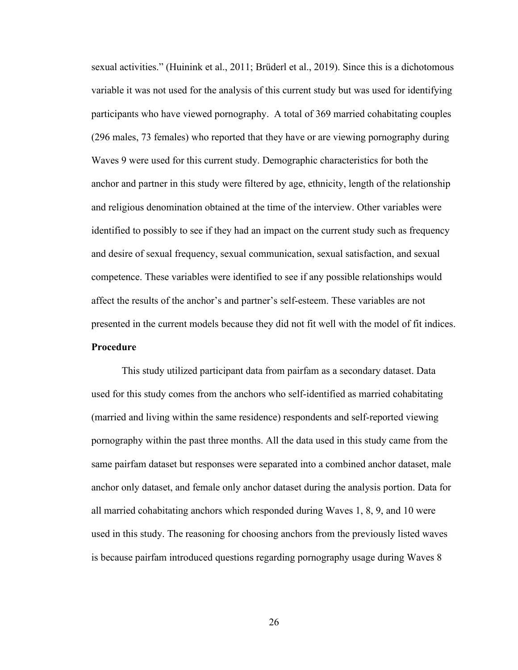<span id="page-35-0"></span>sexual activities." (Huinink et al., 2011; Brüderl et al., 2019). Since this is a dichotomous variable it was not used for the analysis of this current study but was used for identifying participants who have viewed pornography. A total of 369 married cohabitating couples (296 males, 73 females) who reported that they have or are viewing pornography during Waves 9 were used for this current study. Demographic characteristics for both the anchor and partner in this study were filtered by age, ethnicity, length of the relationship and religious denomination obtained at the time of the interview. Other variables were identified to possibly to see if they had an impact on the current study such as frequency and desire of sexual frequency, sexual communication, sexual satisfaction, and sexual competence. These variables were identified to see if any possible relationships would affect the results of the anchor's and partner's self-esteem. These variables are not presented in the current models because they did not fit well with the model of fit indices. **Procedure**

This study utilized participant data from pairfam as a secondary dataset. Data used for this study comes from the anchors who self-identified as married cohabitating (married and living within the same residence) respondents and self-reported viewing pornography within the past three months. All the data used in this study came from the same pairfam dataset but responses were separated into a combined anchor dataset, male anchor only dataset, and female only anchor dataset during the analysis portion. Data for all married cohabitating anchors which responded during Waves 1, 8, 9, and 10 were used in this study. The reasoning for choosing anchors from the previously listed waves is because pairfam introduced questions regarding pornography usage during Waves 8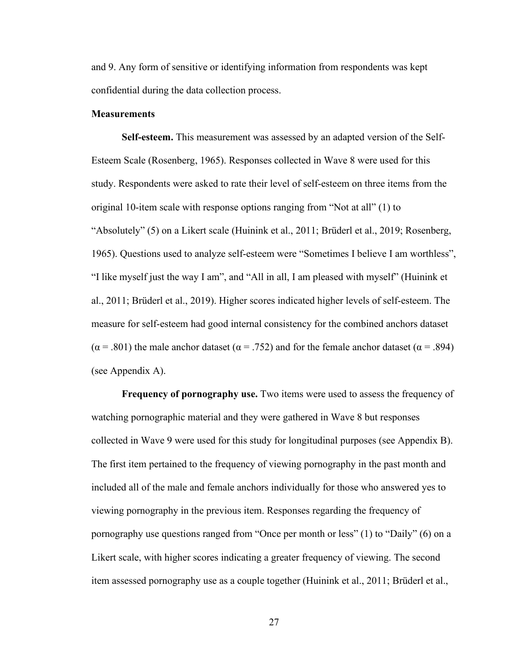and 9. Any form of sensitive or identifying information from respondents was kept confidential during the data collection process.

### **Measurements**

**Self-esteem.** This measurement was assessed by an adapted version of the Self-Esteem Scale (Rosenberg, 1965). Responses collected in Wave 8 were used for this study. Respondents were asked to rate their level of self-esteem on three items from the original 10-item scale with response options ranging from "Not at all" (1) to "Absolutely" (5) on a Likert scale (Huinink et al., 2011; Brüderl et al., 2019; Rosenberg, 1965). Questions used to analyze self-esteem were "Sometimes I believe I am worthless", "I like myself just the way I am", and "All in all, I am pleased with myself" (Huinink et al., 2011; Brüderl et al., 2019). Higher scores indicated higher levels of self-esteem. The measure for self-esteem had good internal consistency for the combined anchors dataset ( $\alpha$  = .801) the male anchor dataset ( $\alpha$  = .752) and for the female anchor dataset ( $\alpha$  = .894) (see Appendix A).

**Frequency of pornography use.** Two items were used to assess the frequency of watching pornographic material and they were gathered in Wave 8 but responses collected in Wave 9 were used for this study for longitudinal purposes (see Appendix B). The first item pertained to the frequency of viewing pornography in the past month and included all of the male and female anchors individually for those who answered yes to viewing pornography in the previous item. Responses regarding the frequency of pornography use questions ranged from "Once per month or less" (1) to "Daily" (6) on a Likert scale, with higher scores indicating a greater frequency of viewing. The second item assessed pornography use as a couple together (Huinink et al., 2011; Brüderl et al.,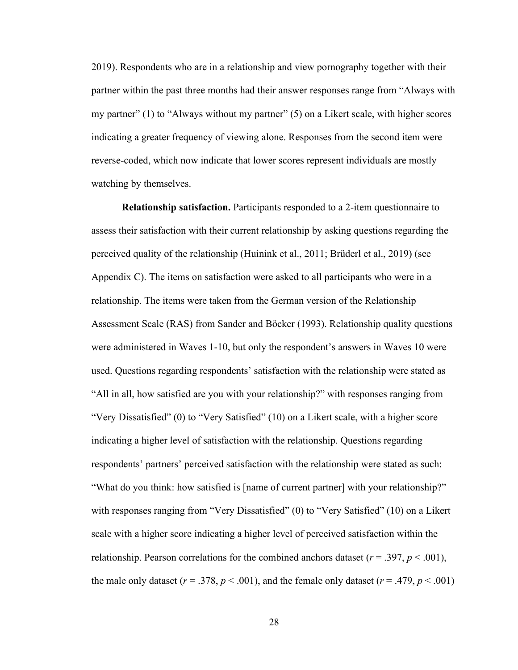2019). Respondents who are in a relationship and view pornography together with their partner within the past three months had their answer responses range from "Always with my partner" (1) to "Always without my partner" (5) on a Likert scale, with higher scores indicating a greater frequency of viewing alone. Responses from the second item were reverse-coded, which now indicate that lower scores represent individuals are mostly watching by themselves.

**Relationship satisfaction.** Participants responded to a 2-item questionnaire to assess their satisfaction with their current relationship by asking questions regarding the perceived quality of the relationship (Huinink et al., 2011; Brüderl et al., 2019) (see Appendix C). The items on satisfaction were asked to all participants who were in a relationship. The items were taken from the German version of the Relationship Assessment Scale (RAS) from Sander and Böcker (1993). Relationship quality questions were administered in Waves 1-10, but only the respondent's answers in Waves 10 were used. Questions regarding respondents' satisfaction with the relationship were stated as "All in all, how satisfied are you with your relationship?" with responses ranging from "Very Dissatisfied" (0) to "Very Satisfied" (10) on a Likert scale, with a higher score indicating a higher level of satisfaction with the relationship. Questions regarding respondents' partners' perceived satisfaction with the relationship were stated as such: "What do you think: how satisfied is [name of current partner] with your relationship?" with responses ranging from "Very Dissatisfied" (0) to "Very Satisfied" (10) on a Likert scale with a higher score indicating a higher level of perceived satisfaction within the relationship. Pearson correlations for the combined anchors dataset ( $r = .397$ ,  $p < .001$ ), the male only dataset ( $r = .378$ ,  $p < .001$ ), and the female only dataset ( $r = .479$ ,  $p < .001$ )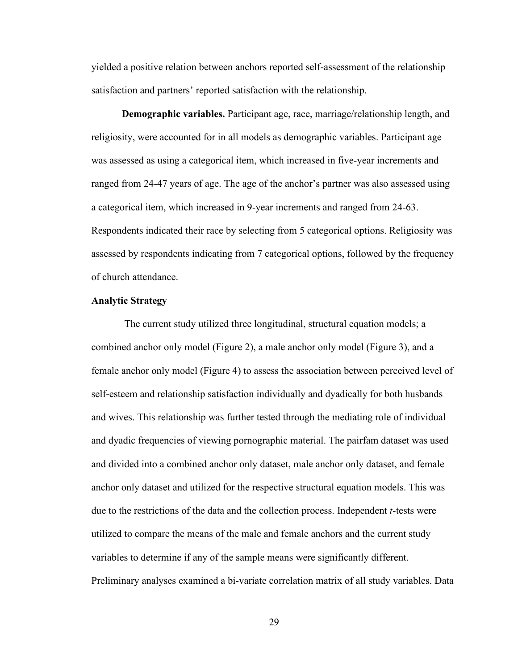yielded a positive relation between anchors reported self-assessment of the relationship satisfaction and partners' reported satisfaction with the relationship.

**Demographic variables.** Participant age, race, marriage/relationship length, and religiosity, were accounted for in all models as demographic variables. Participant age was assessed as using a categorical item, which increased in five-year increments and ranged from 24-47 years of age. The age of the anchor's partner was also assessed using a categorical item, which increased in 9-year increments and ranged from 24-63. Respondents indicated their race by selecting from 5 categorical options. Religiosity was assessed by respondents indicating from 7 categorical options, followed by the frequency of church attendance.

### **Analytic Strategy**

The current study utilized three longitudinal, structural equation models; a combined anchor only model (Figure 2), a male anchor only model (Figure 3), and a female anchor only model (Figure 4) to assess the association between perceived level of self-esteem and relationship satisfaction individually and dyadically for both husbands and wives. This relationship was further tested through the mediating role of individual and dyadic frequencies of viewing pornographic material. The pairfam dataset was used and divided into a combined anchor only dataset, male anchor only dataset, and female anchor only dataset and utilized for the respective structural equation models. This was due to the restrictions of the data and the collection process. Independent *t*-tests were utilized to compare the means of the male and female anchors and the current study variables to determine if any of the sample means were significantly different. Preliminary analyses examined a bi-variate correlation matrix of all study variables. Data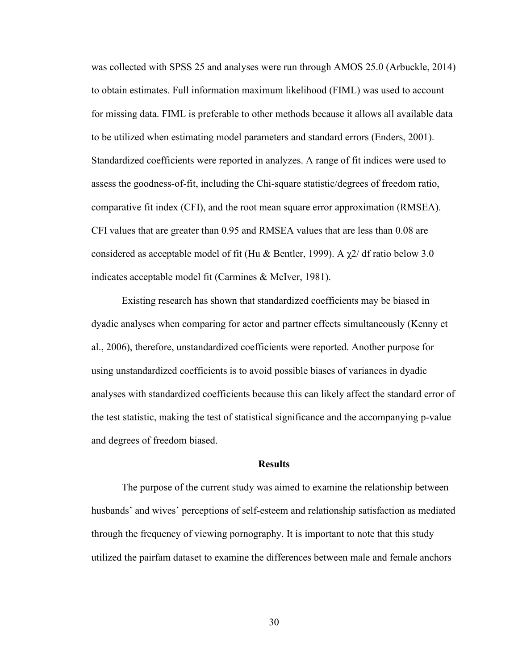was collected with SPSS 25 and analyses were run through AMOS 25.0 (Arbuckle, 2014) to obtain estimates. Full information maximum likelihood (FIML) was used to account for missing data. FIML is preferable to other methods because it allows all available data to be utilized when estimating model parameters and standard errors (Enders, 2001). Standardized coefficients were reported in analyzes. A range of fit indices were used to assess the goodness-of-fit, including the Chi-square statistic/degrees of freedom ratio, comparative fit index (CFI), and the root mean square error approximation (RMSEA). CFI values that are greater than 0.95 and RMSEA values that are less than 0.08 are considered as acceptable model of fit (Hu & Bentler, 1999). A  $\chi$ 2/ df ratio below 3.0 indicates acceptable model fit (Carmines & McIver, 1981).

Existing research has shown that standardized coefficients may be biased in dyadic analyses when comparing for actor and partner effects simultaneously (Kenny et al., 2006), therefore, unstandardized coefficients were reported. Another purpose for using unstandardized coefficients is to avoid possible biases of variances in dyadic analyses with standardized coefficients because this can likely affect the standard error of the test statistic, making the test of statistical significance and the accompanying p-value and degrees of freedom biased.

#### **Results**

The purpose of the current study was aimed to examine the relationship between husbands' and wives' perceptions of self-esteem and relationship satisfaction as mediated through the frequency of viewing pornography. It is important to note that this study utilized the pairfam dataset to examine the differences between male and female anchors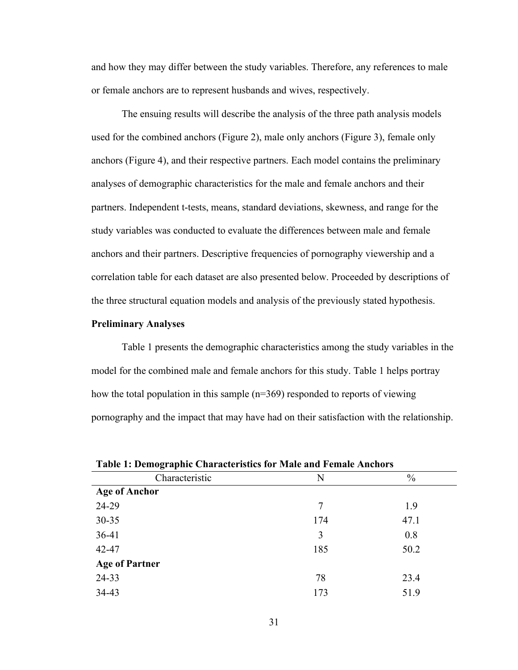and how they may differ between the study variables. Therefore, any references to male or female anchors are to represent husbands and wives, respectively.

The ensuing results will describe the analysis of the three path analysis models used for the combined anchors (Figure 2), male only anchors (Figure 3), female only anchors (Figure 4), and their respective partners. Each model contains the preliminary analyses of demographic characteristics for the male and female anchors and their partners. Independent t-tests, means, standard deviations, skewness, and range for the study variables was conducted to evaluate the differences between male and female anchors and their partners. Descriptive frequencies of pornography viewership and a correlation table for each dataset are also presented below. Proceeded by descriptions of the three structural equation models and analysis of the previously stated hypothesis.

## **Preliminary Analyses**

Table 1 presents the demographic characteristics among the study variables in the model for the combined male and female anchors for this study. Table 1 helps portray how the total population in this sample (n=369) responded to reports of viewing pornography and the impact that may have had on their satisfaction with the relationship.

| o<br>. .              |     |               |
|-----------------------|-----|---------------|
| Characteristic        | N   | $\frac{0}{0}$ |
| <b>Age of Anchor</b>  |     |               |
| 24-29                 | 7   | 1.9           |
| $30 - 35$             | 174 | 47.1          |
| $36-41$               | 3   | 0.8           |
| 42-47                 | 185 | 50.2          |
| <b>Age of Partner</b> |     |               |
| 24-33                 | 78  | 23.4          |
| 34-43                 | 173 | 51.9          |

**Table 1: Demographic Characteristics for Male and Female Anchors**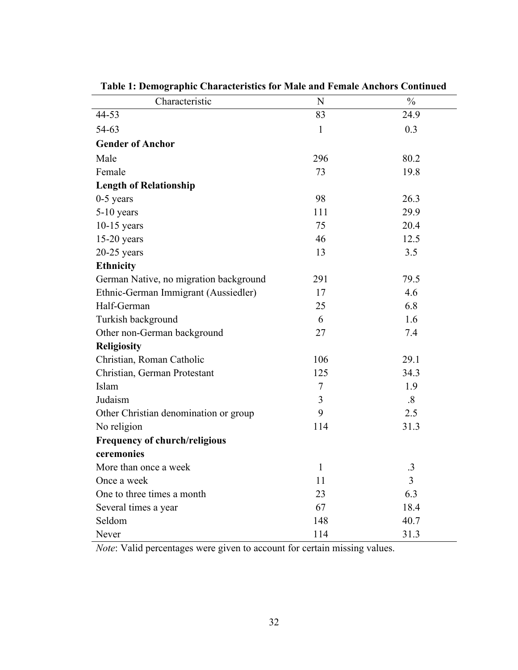| Characteristic                         | $\mathbf N$    | $\frac{0}{0}$ |
|----------------------------------------|----------------|---------------|
| 44-53                                  | 83             | 24.9          |
| 54-63                                  | $\mathbf{1}$   | 0.3           |
| <b>Gender of Anchor</b>                |                |               |
| Male                                   | 296            | 80.2          |
| Female                                 | 73             | 19.8          |
| <b>Length of Relationship</b>          |                |               |
| $0-5$ years                            | 98             | 26.3          |
| $5-10$ years                           | 111            | 29.9          |
| $10-15$ years                          | 75             | 20.4          |
| $15-20$ years                          | 46             | 12.5          |
| $20-25$ years                          | 13             | 3.5           |
| <b>Ethnicity</b>                       |                |               |
| German Native, no migration background | 291            | 79.5          |
| Ethnic-German Immigrant (Aussiedler)   | 17             | 4.6           |
| Half-German                            | 25             | 6.8           |
| Turkish background                     | 6              | 1.6           |
| Other non-German background            | 27             | 7.4           |
| <b>Religiosity</b>                     |                |               |
| Christian, Roman Catholic              | 106            | 29.1          |
| Christian, German Protestant           | 125            | 34.3          |
| Islam                                  | $\overline{7}$ | 1.9           |
| Judaism                                | 3              | $\cdot$ 8     |
| Other Christian denomination or group  | 9              | 2.5           |
| No religion                            | 114            | 31.3          |
| Frequency of church/religious          |                |               |
| ceremonies                             |                |               |
| More than once a week                  |                | 3             |
| Once a week                            | 11             | 3             |
| One to three times a month             | 23             | 6.3           |
| Several times a year                   | 67             | 18.4          |
| Seldom                                 | 148            | 40.7          |
| Never                                  | 114            | 31.3          |

**Table 1: Demographic Characteristics for Male and Female Anchors Continued**

*Note*: Valid percentages were given to account for certain missing values.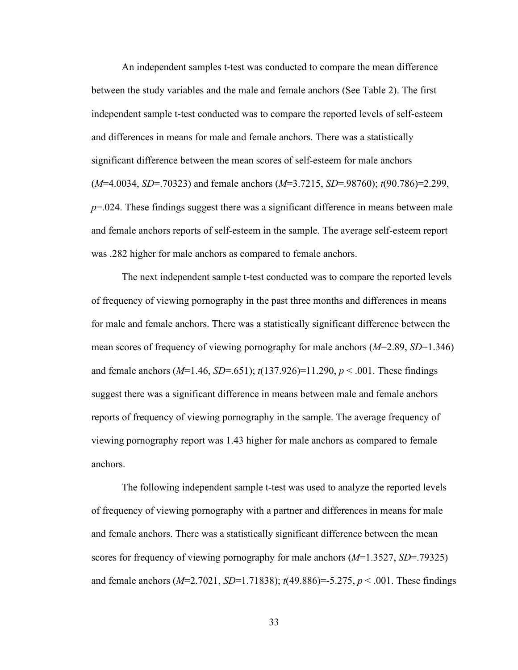An independent samples t-test was conducted to compare the mean difference between the study variables and the male and female anchors (See Table 2). The first independent sample t-test conducted was to compare the reported levels of self-esteem and differences in means for male and female anchors. There was a statistically significant difference between the mean scores of self-esteem for male anchors (*M*=4.0034, *SD*=.70323) and female anchors (*M*=3.7215, *SD*=.98760); *t*(90.786)=2.299, *p*=.024. These findings suggest there was a significant difference in means between male and female anchors reports of self-esteem in the sample. The average self-esteem report was .282 higher for male anchors as compared to female anchors.

The next independent sample t-test conducted was to compare the reported levels of frequency of viewing pornography in the past three months and differences in means for male and female anchors. There was a statistically significant difference between the mean scores of frequency of viewing pornography for male anchors (*M*=2.89, *SD*=1.346) and female anchors (*M*=1.46, *SD*=.651); *t*(137.926)=11.290, *p* < .001. These findings suggest there was a significant difference in means between male and female anchors reports of frequency of viewing pornography in the sample. The average frequency of viewing pornography report was 1.43 higher for male anchors as compared to female anchors.

The following independent sample t-test was used to analyze the reported levels of frequency of viewing pornography with a partner and differences in means for male and female anchors. There was a statistically significant difference between the mean scores for frequency of viewing pornography for male anchors (*M*=1.3527, *SD*=.79325) and female anchors (*M*=2.7021, *SD*=1.71838); *t*(49.886)=-5.275, *p* < .001. These findings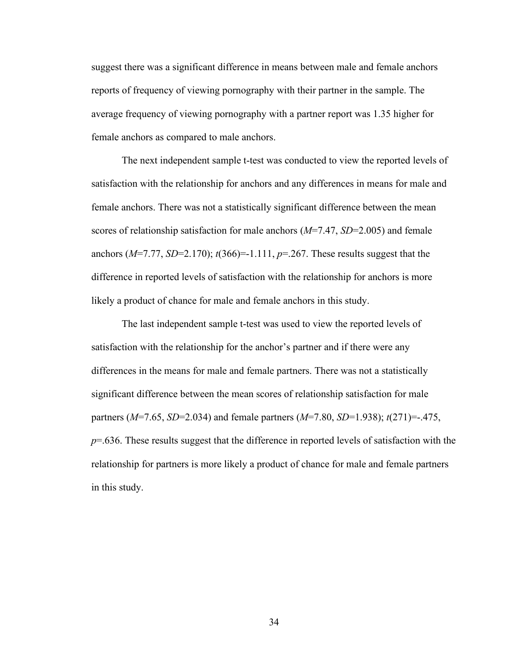suggest there was a significant difference in means between male and female anchors reports of frequency of viewing pornography with their partner in the sample. The average frequency of viewing pornography with a partner report was 1.35 higher for female anchors as compared to male anchors.

The next independent sample t-test was conducted to view the reported levels of satisfaction with the relationship for anchors and any differences in means for male and female anchors. There was not a statistically significant difference between the mean scores of relationship satisfaction for male anchors (*M*=7.47, *SD*=2.005) and female anchors  $(M=7.77, SD=2.170)$ ;  $t(366)=-1.111, p=.267$ . These results suggest that the difference in reported levels of satisfaction with the relationship for anchors is more likely a product of chance for male and female anchors in this study.

The last independent sample t-test was used to view the reported levels of satisfaction with the relationship for the anchor's partner and if there were any differences in the means for male and female partners. There was not a statistically significant difference between the mean scores of relationship satisfaction for male partners (*M*=7.65, *SD*=2.034) and female partners (*M*=7.80, *SD*=1.938); *t*(271)=-.475, *p*=.636. These results suggest that the difference in reported levels of satisfaction with the relationship for partners is more likely a product of chance for male and female partners in this study.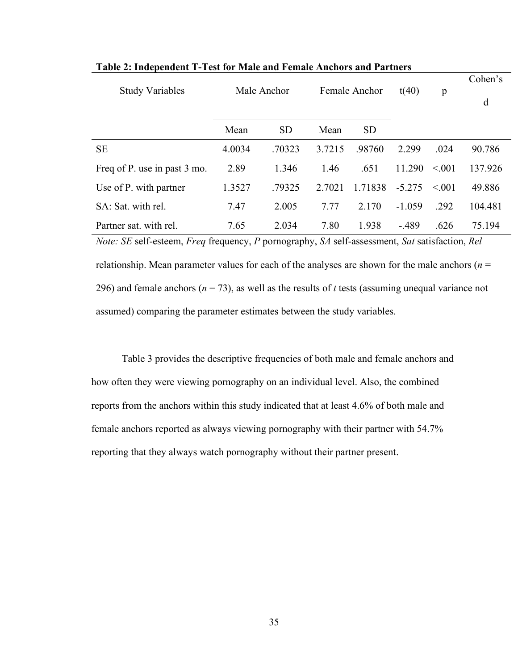| <b>Study Variables</b>       | Male Anchor |           | Female Anchor |           | t(40)    | p      | Cohen's<br>d |
|------------------------------|-------------|-----------|---------------|-----------|----------|--------|--------------|
|                              | Mean        | <b>SD</b> | Mean          | <b>SD</b> |          |        |              |
| <b>SE</b>                    | 4.0034      | .70323    | 3.7215        | .98760    | 2.299    | .024   | 90.786       |
| Freq of P. use in past 3 mo. | 2.89        | 1.346     | 1.46          | .651      | 11.290   | < 0.01 | 137.926      |
| Use of P. with partner       | 1.3527      | .79325    | 2.7021        | 1.71838   | $-5.275$ | < 0.01 | 49.886       |
| SA: Sat. with rel.           | 7.47        | 2.005     | 7.77          | 2.170     | $-1.059$ | .292   | 104.481      |
| Partner sat. with rel.       | 7.65        | 2.034     | 7.80          | 1.938     | $-.489$  | .626   | 75.194       |

**Table 2: Independent T-Test for Male and Female Anchors and Partners**

*Note: SE* self-esteem, *Freq* frequency, *P* pornography, *SA* self-assessment, *Sat* satisfaction, *Rel*  relationship. Mean parameter values for each of the analyses are shown for the male anchors (*n* = 296) and female anchors (*n* = 73), as well as the results of *t* tests (assuming unequal variance not assumed) comparing the parameter estimates between the study variables.

Table 3 provides the descriptive frequencies of both male and female anchors and how often they were viewing pornography on an individual level. Also, the combined reports from the anchors within this study indicated that at least 4.6% of both male and female anchors reported as always viewing pornography with their partner with 54.7% reporting that they always watch pornography without their partner present.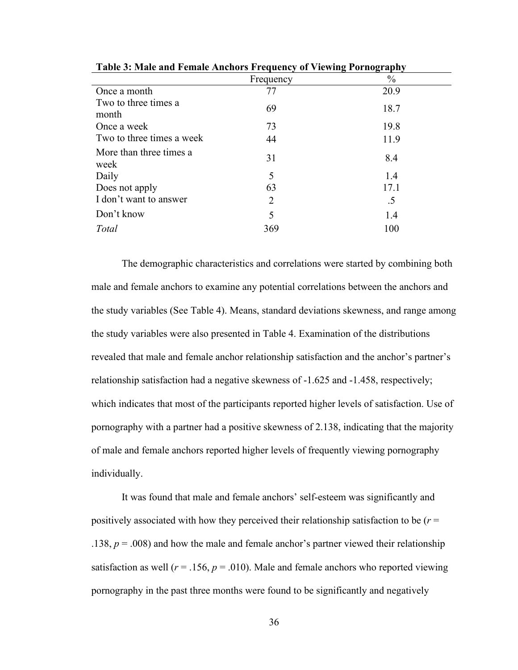| Tuble of trail and I charge intended I requestly of a retaing I of hoge up it |               |
|-------------------------------------------------------------------------------|---------------|
| Frequency                                                                     | $\frac{0}{0}$ |
| 77                                                                            | 20.9          |
| 69                                                                            | 18.7          |
| 73                                                                            | 19.8          |
| 44                                                                            | 11.9          |
| 31                                                                            | 8.4           |
| 5                                                                             | 1.4           |
| 63                                                                            | 17.1          |
| 2                                                                             | .5            |
| 5                                                                             | 1.4           |
| 369                                                                           | 100           |
|                                                                               |               |

**Table 3: Male and Female Anchors Frequency of Viewing Pornography**

The demographic characteristics and correlations were started by combining both male and female anchors to examine any potential correlations between the anchors and the study variables (See Table 4). Means, standard deviations skewness, and range among the study variables were also presented in Table 4. Examination of the distributions revealed that male and female anchor relationship satisfaction and the anchor's partner's relationship satisfaction had a negative skewness of -1.625 and -1.458, respectively; which indicates that most of the participants reported higher levels of satisfaction. Use of pornography with a partner had a positive skewness of 2.138, indicating that the majority of male and female anchors reported higher levels of frequently viewing pornography individually.

It was found that male and female anchors' self-esteem was significantly and positively associated with how they perceived their relationship satisfaction to be (*r* = .138, *p* = .008) and how the male and female anchor's partner viewed their relationship satisfaction as well ( $r = .156$ ,  $p = .010$ ). Male and female anchors who reported viewing pornography in the past three months were found to be significantly and negatively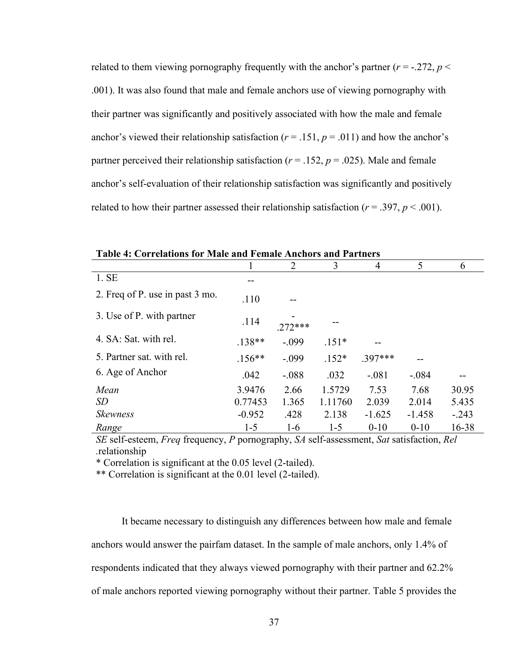related to them viewing pornography frequently with the anchor's partner  $(r = -.272, p <$ .001). It was also found that male and female anchors use of viewing pornography with their partner was significantly and positively associated with how the male and female anchor's viewed their relationship satisfaction ( $r = .151$ ,  $p = .011$ ) and how the anchor's partner perceived their relationship satisfaction ( $r = .152$ ,  $p = .025$ ). Male and female anchor's self-evaluation of their relationship satisfaction was significantly and positively related to how their partner assessed their relationship satisfaction  $(r = .397, p < .001)$ .

|                                 |          | $\overline{2}$ | 3       | $\overline{4}$ | 5        | 6       |
|---------------------------------|----------|----------------|---------|----------------|----------|---------|
| 1.SE                            |          |                |         |                |          |         |
| 2. Freq of P. use in past 3 mo. | .110     |                |         |                |          |         |
| 3. Use of P. with partner       | .114     | 272***         |         |                |          |         |
| 4. SA: Sat. with rel.           | $.138**$ | $-.099$        | $.151*$ |                |          |         |
| 5. Partner sat. with rel.       | $.156**$ | $-.099$        | $.152*$ | $.397***$      |          |         |
| 6. Age of Anchor                | .042     | $-.088$        | .032    | $-.081$        | $-.084$  |         |
| Mean                            | 3.9476   | 2.66           | 1.5729  | 7.53           | 7.68     | 30.95   |
| <i>SD</i>                       | 0.77453  | 1.365          | 1.11760 | 2.039          | 2.014    | 5.435   |
| <b>Skewness</b>                 | $-0.952$ | .428           | 2.138   | $-1.625$       | $-1.458$ | $-.243$ |
| Range                           | $1 - 5$  | $1-6$          | $1 - 5$ | $0 - 10$       | $0 - 10$ | 16-38   |

**Table 4: Correlations for Male and Female Anchors and Partners**

*SE* self-esteem, *Freq* frequency, *P* pornography, *SA* self-assessment, *Sat* satisfaction, *Rel .*relationship

\* Correlation is significant at the 0.05 level (2-tailed).

\*\* Correlation is significant at the 0.01 level (2-tailed).

It became necessary to distinguish any differences between how male and female anchors would answer the pairfam dataset. In the sample of male anchors, only 1.4% of respondents indicated that they always viewed pornography with their partner and 62.2% of male anchors reported viewing pornography without their partner. Table 5 provides the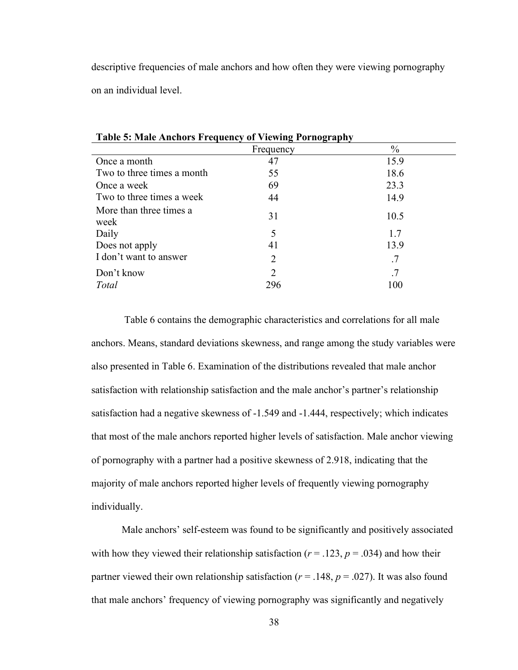descriptive frequencies of male anchors and how often they were viewing pornography on an individual level.

|                                 | Frequency | $\frac{0}{0}$ |
|---------------------------------|-----------|---------------|
| Once a month                    | 47        | 15.9          |
| Two to three times a month      | 55        | 18.6          |
| Once a week                     | 69        | 23.3          |
| Two to three times a week       | 44        | 14.9          |
| More than three times a<br>week | 31        | 10.5          |
| Daily                           | 5         | 1.7           |
| Does not apply                  | 41        | 13.9          |
| I don't want to answer          | 2         | .7            |
| Don't know                      | 2         | .7            |
| <b>Total</b>                    | 296       | 100           |

**Table 5: Male Anchors Frequency of Viewing Pornography**

Table 6 contains the demographic characteristics and correlations for all male anchors. Means, standard deviations skewness, and range among the study variables were also presented in Table 6. Examination of the distributions revealed that male anchor satisfaction with relationship satisfaction and the male anchor's partner's relationship satisfaction had a negative skewness of -1.549 and -1.444, respectively; which indicates that most of the male anchors reported higher levels of satisfaction. Male anchor viewing of pornography with a partner had a positive skewness of 2.918, indicating that the majority of male anchors reported higher levels of frequently viewing pornography individually.

Male anchors' self-esteem was found to be significantly and positively associated with how they viewed their relationship satisfaction ( $r = .123$ ,  $p = .034$ ) and how their partner viewed their own relationship satisfaction ( $r = .148$ ,  $p = .027$ ). It was also found that male anchors' frequency of viewing pornography was significantly and negatively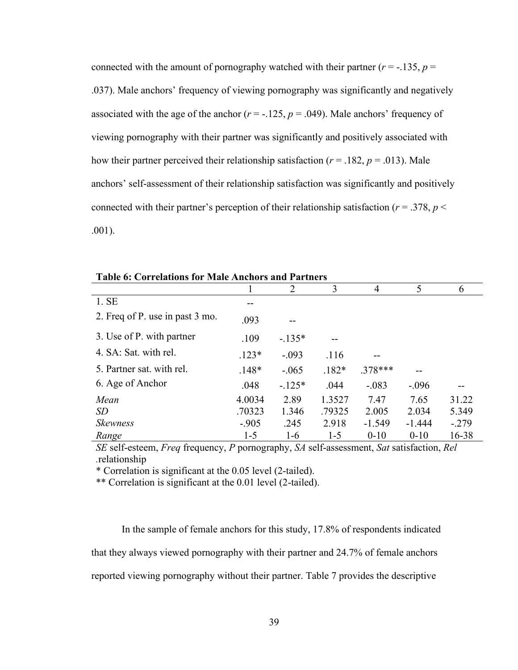connected with the amount of pornography watched with their partner ( $r = -135$ ,  $p =$ .037). Male anchors' frequency of viewing pornography was significantly and negatively associated with the age of the anchor  $(r = -125, p = .049)$ . Male anchors' frequency of viewing pornography with their partner was significantly and positively associated with how their partner perceived their relationship satisfaction ( $r = .182$ ,  $p = .013$ ). Male anchors' self-assessment of their relationship satisfaction was significantly and positively connected with their partner's perception of their relationship satisfaction ( $r = .378$ ,  $p <$ .001).

|                                 | 1       | $\overline{2}$ | 3       | 4         | 5        | 6       |
|---------------------------------|---------|----------------|---------|-----------|----------|---------|
| 1. SE                           | --      |                |         |           |          |         |
| 2. Freq of P. use in past 3 mo. | .093    |                |         |           |          |         |
| 3. Use of P. with partner       | .109    | $-.135*$       |         |           |          |         |
| 4. SA: Sat. with rel.           | $.123*$ | $-.093$        | .116    |           |          |         |
| 5. Partner sat. with rel.       | $.148*$ | $-.065$        | $.182*$ | $.378***$ |          |         |
| 6. Age of Anchor                | .048    | $-.125*$       | .044    | $-.083$   | $-.096$  |         |
| Mean                            | 4.0034  | 2.89           | 1.3527  | 7.47      | 7.65     | 31.22   |
| <i>SD</i>                       | .70323  | 1.346          | .79325  | 2.005     | 2.034    | 5.349   |
| <b>Skewness</b>                 | $-.905$ | .245           | 2.918   | $-1.549$  | $-1.444$ | $-.279$ |
| Range                           | $1 - 5$ | $1-6$          | $1-5$   | $0 - 10$  | $0 - 10$ | 16-38   |

**Table 6: Correlations for Male Anchors and Partners**

*SE* self-esteem, *Freq* frequency, *P* pornography, *SA* self-assessment, *Sat* satisfaction, *Rel .*relationship

\* Correlation is significant at the 0.05 level (2-tailed).

\*\* Correlation is significant at the 0.01 level (2-tailed).

In the sample of female anchors for this study, 17.8% of respondents indicated that they always viewed pornography with their partner and 24.7% of female anchors reported viewing pornography without their partner. Table 7 provides the descriptive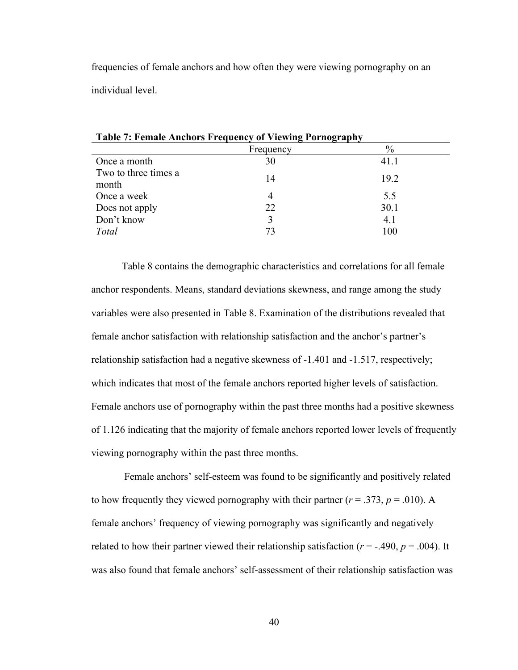frequencies of female anchors and how often they were viewing pornography on an individual level.

| <b>Table 7: Female Anchors Frequency of Viewing Pornography</b> |           |      |  |  |
|-----------------------------------------------------------------|-----------|------|--|--|
|                                                                 | Frequency | $\%$ |  |  |
| Once a month                                                    | 30        | 41.1 |  |  |
| Two to three times a<br>month                                   | 14        | 19.2 |  |  |
| Once a week                                                     | 4         | 5.5  |  |  |
| Does not apply                                                  | 22        | 30.1 |  |  |
| Don't know                                                      |           | 4.1  |  |  |
| Total                                                           | 73        | 100  |  |  |

Table 8 contains the demographic characteristics and correlations for all female anchor respondents. Means, standard deviations skewness, and range among the study variables were also presented in Table 8. Examination of the distributions revealed that female anchor satisfaction with relationship satisfaction and the anchor's partner's relationship satisfaction had a negative skewness of -1.401 and -1.517, respectively; which indicates that most of the female anchors reported higher levels of satisfaction. Female anchors use of pornography within the past three months had a positive skewness

of 1.126 indicating that the majority of female anchors reported lower levels of frequently viewing pornography within the past three months.

Female anchors' self-esteem was found to be significantly and positively related to how frequently they viewed pornography with their partner ( $r = .373$ ,  $p = .010$ ). A female anchors' frequency of viewing pornography was significantly and negatively related to how their partner viewed their relationship satisfaction ( $r = -.490, p = .004$ ). It was also found that female anchors' self-assessment of their relationship satisfaction was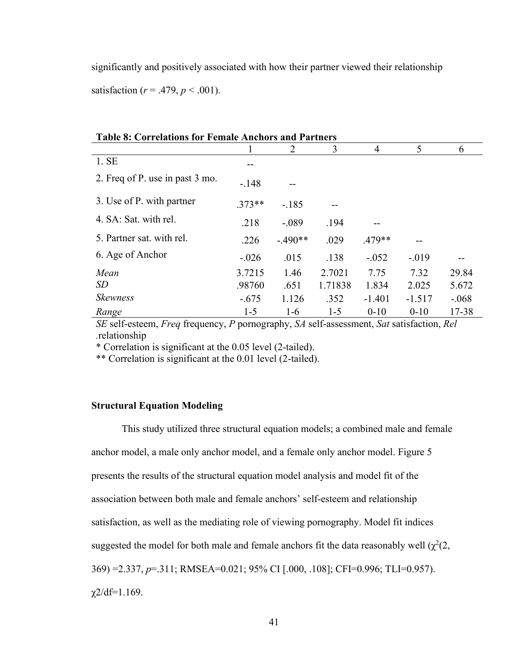significantly and positively associated with how their partner viewed their relationship satisfaction ( $r = .479$ ,  $p < .001$ ).

| <b>Table 8: Correlations for Female Anchors and Partners</b> |          |           |         |          |          |         |  |  |
|--------------------------------------------------------------|----------|-----------|---------|----------|----------|---------|--|--|
|                                                              |          | 2         | 3       | 4        | 5        | 6       |  |  |
| 1. SE                                                        | --       |           |         |          |          |         |  |  |
| 2. Freq of P. use in past 3 mo.                              | $-.148$  |           |         |          |          |         |  |  |
| 3. Use of P. with partner                                    | $.373**$ | $-.185$   |         |          |          |         |  |  |
| 4. SA: Sat. with rel.                                        | .218     | $-.089$   | .194    |          |          |         |  |  |
| 5. Partner sat. with rel.                                    | .226     | $-.490**$ | .029    | $.479**$ |          |         |  |  |
| 6. Age of Anchor                                             | $-.026$  | .015      | .138    | $-.052$  | $-.019$  |         |  |  |
| Mean                                                         | 3.7215   | 1.46      | 2.7021  | 7.75     | 7.32     | 29.84   |  |  |
| <i>SD</i>                                                    | .98760   | .651      | 1.71838 | 1.834    | 2.025    | 5.672   |  |  |
| <b>Skewness</b>                                              | $-.675$  | 1.126     | .352    | $-1.401$ | $-1.517$ | $-.068$ |  |  |
| Range                                                        | $1 - 5$  | $1-6$     | $1-5$   | $0 - 10$ | $0 - 10$ | 17-38   |  |  |

*SE* self-esteem, *Freq* frequency, *P* pornography, *SA* self-assessment, *Sat* satisfaction, *Rel .*relationship

\* Correlation is significant at the 0.05 level (2-tailed).

\*\* Correlation is significant at the 0.01 level (2-tailed).

# **Structural Equation Modeling**

This study utilized three structural equation models; a combined male and female anchor model, a male only anchor model, and a female only anchor model. Figure 5 presents the results of the structural equation model analysis and model fit of the association between both male and female anchors' self-esteem and relationship satisfaction, as well as the mediating role of viewing pornography. Model fit indices suggested the model for both male and female anchors fit the data reasonably well  $(\chi^2(2, \chi^2))$ 369) =2.337, *p*=.311; RMSEA=0.021; 95% CI [.000, .108]; CFI=0.996; TLI=0.957). χ2/df=1.169.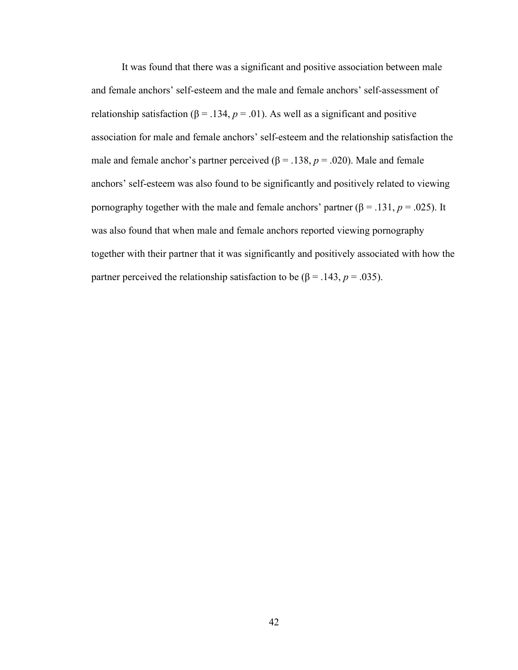It was found that there was a significant and positive association between male and female anchors' self-esteem and the male and female anchors' self-assessment of relationship satisfaction ( $β = .134, p = .01$ ). As well as a significant and positive association for male and female anchors' self-esteem and the relationship satisfaction the male and female anchor's partner perceived ( $\beta$  = .138,  $p$  = .020). Male and female anchors' self-esteem was also found to be significantly and positively related to viewing pornography together with the male and female anchors' partner ( $β = .131, p = .025$ ). It was also found that when male and female anchors reported viewing pornography together with their partner that it was significantly and positively associated with how the partner perceived the relationship satisfaction to be ( $\beta$  = .143, *p* = .035).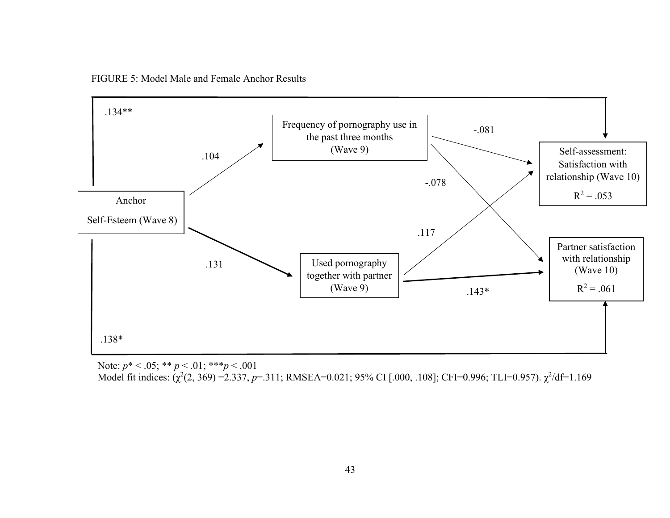FIGURE 5: Model Male and Female Anchor Results



Note: *p*\* < .05; \*\* *p* < .01; \*\*\**p* < .001

Model fit indices: (χ<sup>2</sup>(2, 369) =2.337, p=.311; RMSEA=0.021; 95% CI [.000, .108]; CFI=0.996; TLI=0.957). χ<sup>2</sup>/df=1.169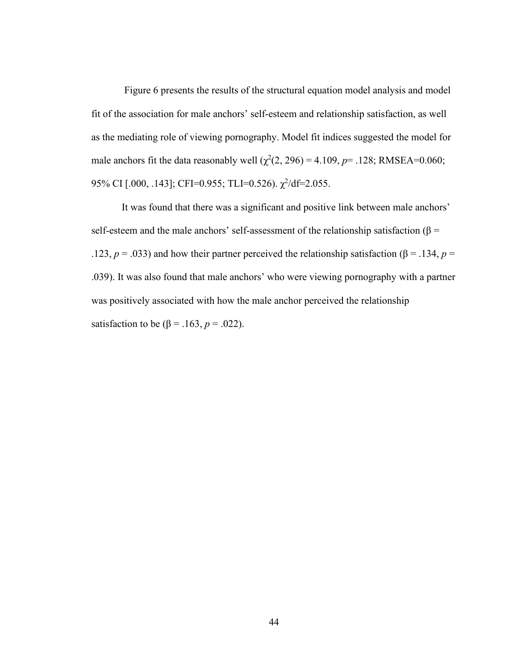Figure 6 presents the results of the structural equation model analysis and model fit of the association for male anchors' self-esteem and relationship satisfaction, as well as the mediating role of viewing pornography. Model fit indices suggested the model for male anchors fit the data reasonably well  $(\chi^2(2, 296) = 4.109, p = .128; RMSEA = 0.060;$ 95% CI [.000, .143]; CFI=0.955; TLI=0.526).  $\chi^2$ /df=2.055.

It was found that there was a significant and positive link between male anchors' self-esteem and the male anchors' self-assessment of the relationship satisfaction ( $\beta$  = .123,  $p = .033$ ) and how their partner perceived the relationship satisfaction (β = .134,  $p =$ .039). It was also found that male anchors' who were viewing pornography with a partner was positively associated with how the male anchor perceived the relationship satisfaction to be (β = .163, *p* = .022).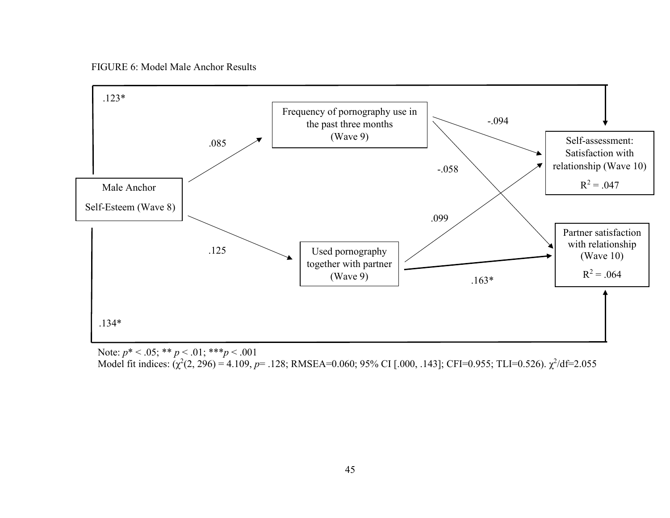FIGURE 6: Model Male Anchor Results



Note: *p*\* < .05; \*\* *p* < .01; \*\*\**p* < .001

Model fit indices: (χ<sup>2</sup>(2, 296) = 4.109, p= .128; RMSEA=0.060; 95% CI [.000, .143]; CFI=0.955; TLI=0.526). χ<sup>2</sup>/df=2.055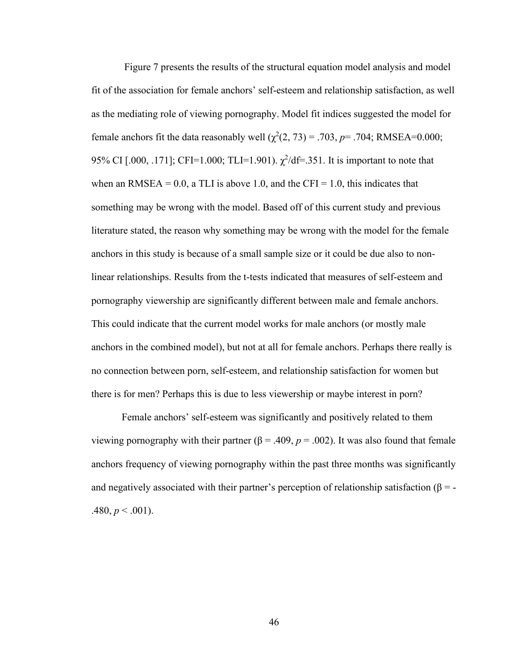Figure 7 presents the results of the structural equation model analysis and model fit of the association for female anchors' self-esteem and relationship satisfaction, as well as the mediating role of viewing pornography. Model fit indices suggested the model for female anchors fit the data reasonably well  $(\chi^2(2, 73) = .703, p = .704; RMSEA = 0.000;$ 95% CI [.000, .171]; CFI=1.000; TLI=1.901).  $\chi^2/df=351$ . It is important to note that when an RMSEA =  $0.0$ , a TLI is above 1.0, and the CFI = 1.0, this indicates that something may be wrong with the model. Based off of this current study and previous literature stated, the reason why something may be wrong with the model for the female anchors in this study is because of a small sample size or it could be due also to nonlinear relationships. Results from the t-tests indicated that measures of self-esteem and pornography viewership are significantly different between male and female anchors. This could indicate that the current model works for male anchors (or mostly male anchors in the combined model), but not at all for female anchors. Perhaps there really is no connection between porn, self-esteem, and relationship satisfaction for women but there is for men? Perhaps this is due to less viewership or maybe interest in porn?

Female anchors' self-esteem was significantly and positively related to them viewing pornography with their partner ( $\beta$  = .409,  $p$  = .002). It was also found that female anchors frequency of viewing pornography within the past three months was significantly and negatively associated with their partner's perception of relationship satisfaction ( $\beta = .480, p \leq .001$ ).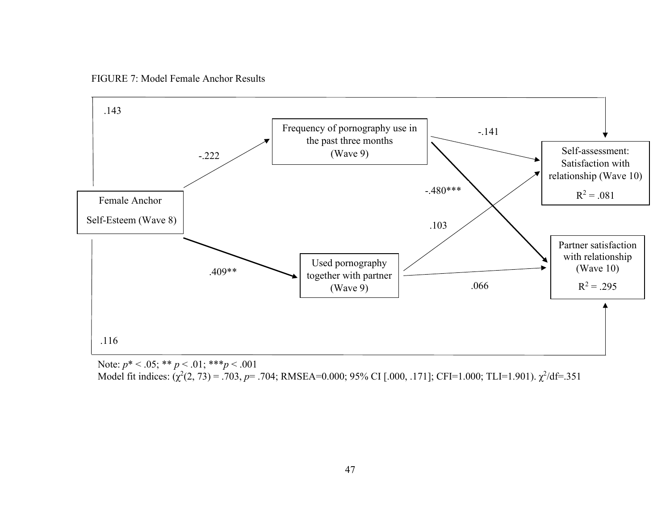FIGURE 7: Model Female Anchor Results



Note: *p*\* < .05; \*\* *p* < .01; \*\*\**p* < .001

Model fit indices: (χ<sup>2</sup>(2, 73) = .703, p= .704; RMSEA=0.000; 95% CI [.000, .171]; CFI=1.000; TLI=1.901). χ<sup>2</sup>/df=.351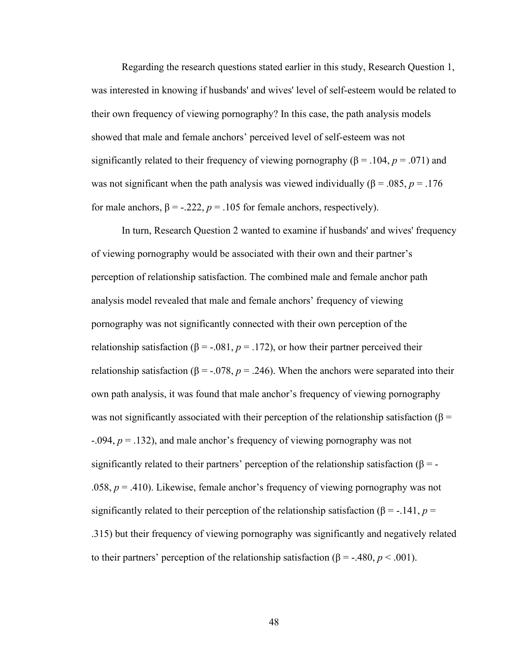Regarding the research questions stated earlier in this study, Research Question 1, was interested in knowing if husbands' and wives' level of self-esteem would be related to their own frequency of viewing pornography? In this case, the path analysis models showed that male and female anchors' perceived level of self-esteem was not significantly related to their frequency of viewing pornography ( $\beta$  = .104, *p* = .071) and was not significant when the path analysis was viewed individually ( $\beta$  = .085, *p* = .176 for male anchors,  $β = -.222$ ,  $p = .105$  for female anchors, respectively).

In turn, Research Question 2 wanted to examine if husbands' and wives' frequency of viewing pornography would be associated with their own and their partner's perception of relationship satisfaction. The combined male and female anchor path analysis model revealed that male and female anchors' frequency of viewing pornography was not significantly connected with their own perception of the relationship satisfaction ( $\beta$  = -.081,  $p$  = .172), or how their partner perceived their relationship satisfaction ( $\beta$  = -.078,  $p$  = .246). When the anchors were separated into their own path analysis, it was found that male anchor's frequency of viewing pornography was not significantly associated with their perception of the relationship satisfaction ( $\beta$  = -.094, *p* = .132), and male anchor's frequency of viewing pornography was not significantly related to their partners' perception of the relationship satisfaction ( $\beta$  = -.058, *p* = .410). Likewise, female anchor's frequency of viewing pornography was not significantly related to their perception of the relationship satisfaction ( $\beta$  = -.141, *p* = .315) but their frequency of viewing pornography was significantly and negatively related to their partners' perception of the relationship satisfaction (β = -.480,  $p < .001$ ).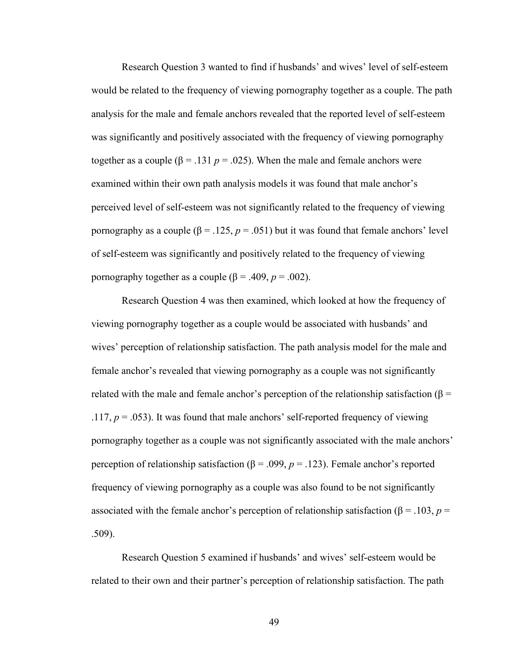Research Question 3 wanted to find if husbands' and wives' level of self-esteem would be related to the frequency of viewing pornography together as a couple. The path analysis for the male and female anchors revealed that the reported level of self-esteem was significantly and positively associated with the frequency of viewing pornography together as a couple ( $\beta$  = .131 *p* = .025). When the male and female anchors were examined within their own path analysis models it was found that male anchor's perceived level of self-esteem was not significantly related to the frequency of viewing pornography as a couple ( $\beta$  = .125,  $p$  = .051) but it was found that female anchors' level of self-esteem was significantly and positively related to the frequency of viewing pornography together as a couple ( $β = .409, p = .002$ ).

Research Question 4 was then examined, which looked at how the frequency of viewing pornography together as a couple would be associated with husbands' and wives' perception of relationship satisfaction. The path analysis model for the male and female anchor's revealed that viewing pornography as a couple was not significantly related with the male and female anchor's perception of the relationship satisfaction (β = .117,  $p = .053$ ). It was found that male anchors' self-reported frequency of viewing pornography together as a couple was not significantly associated with the male anchors' perception of relationship satisfaction (β = .099, *p* = .123). Female anchor's reported frequency of viewing pornography as a couple was also found to be not significantly associated with the female anchor's perception of relationship satisfaction ( $\beta$  = .103, *p* = .509).

Research Question 5 examined if husbands' and wives' self-esteem would be related to their own and their partner's perception of relationship satisfaction. The path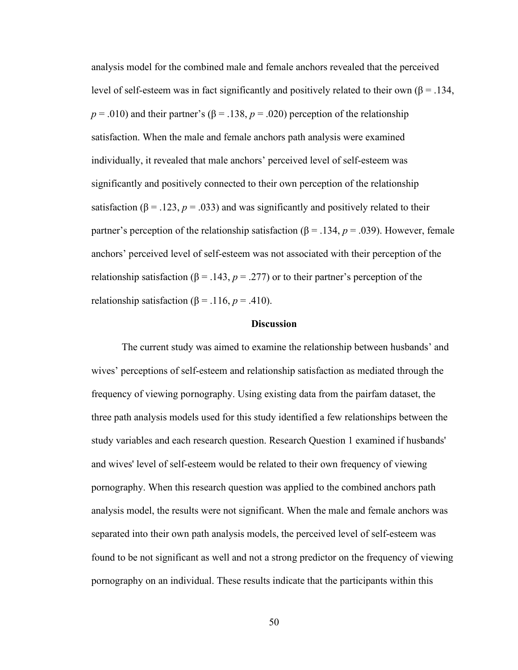analysis model for the combined male and female anchors revealed that the perceived level of self-esteem was in fact significantly and positively related to their own (β = .134,  $p = .010$ ) and their partner's ( $\beta = .138$ ,  $p = .020$ ) perception of the relationship satisfaction. When the male and female anchors path analysis were examined individually, it revealed that male anchors' perceived level of self-esteem was significantly and positively connected to their own perception of the relationship satisfaction ( $\beta$  = .123,  $p$  = .033) and was significantly and positively related to their partner's perception of the relationship satisfaction (β = .134,  $p = .039$ ). However, female anchors' perceived level of self-esteem was not associated with their perception of the relationship satisfaction ( $\beta$  = .143,  $p$  = .277) or to their partner's perception of the relationship satisfaction ( $\beta$  = .116, *p* = .410).

## **Discussion**

The current study was aimed to examine the relationship between husbands' and wives' perceptions of self-esteem and relationship satisfaction as mediated through the frequency of viewing pornography. Using existing data from the pairfam dataset, the three path analysis models used for this study identified a few relationships between the study variables and each research question. Research Question 1 examined if husbands' and wives' level of self-esteem would be related to their own frequency of viewing pornography. When this research question was applied to the combined anchors path analysis model, the results were not significant. When the male and female anchors was separated into their own path analysis models, the perceived level of self-esteem was found to be not significant as well and not a strong predictor on the frequency of viewing pornography on an individual. These results indicate that the participants within this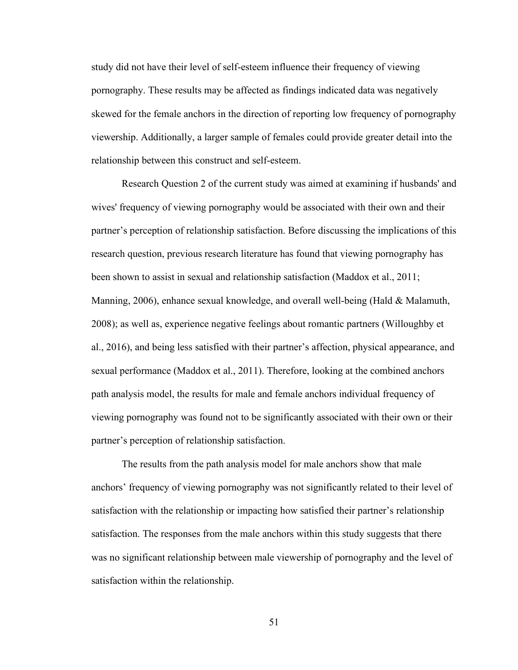study did not have their level of self-esteem influence their frequency of viewing pornography. These results may be affected as findings indicated data was negatively skewed for the female anchors in the direction of reporting low frequency of pornography viewership. Additionally, a larger sample of females could provide greater detail into the relationship between this construct and self-esteem.

Research Question 2 of the current study was aimed at examining if husbands' and wives' frequency of viewing pornography would be associated with their own and their partner's perception of relationship satisfaction. Before discussing the implications of this research question, previous research literature has found that viewing pornography has been shown to assist in sexual and relationship satisfaction (Maddox et al., 2011; Manning, 2006), enhance sexual knowledge, and overall well-being (Hald & Malamuth, 2008); as well as, experience negative feelings about romantic partners (Willoughby et al., 2016), and being less satisfied with their partner's affection, physical appearance, and sexual performance (Maddox et al., 2011). Therefore, looking at the combined anchors path analysis model, the results for male and female anchors individual frequency of viewing pornography was found not to be significantly associated with their own or their partner's perception of relationship satisfaction.

The results from the path analysis model for male anchors show that male anchors' frequency of viewing pornography was not significantly related to their level of satisfaction with the relationship or impacting how satisfied their partner's relationship satisfaction. The responses from the male anchors within this study suggests that there was no significant relationship between male viewership of pornography and the level of satisfaction within the relationship.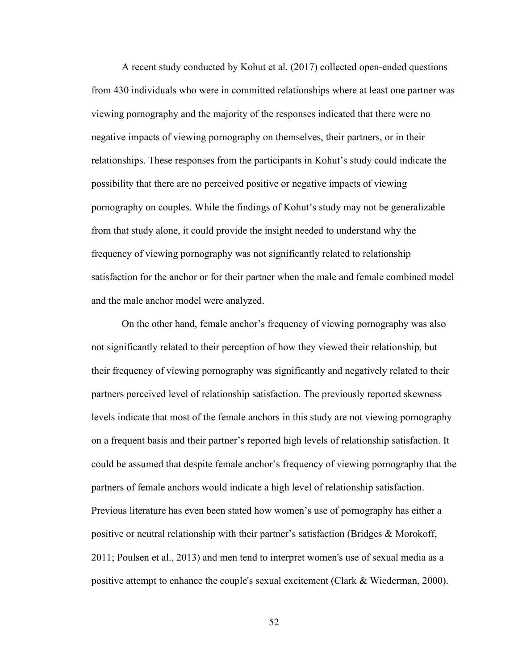A recent study conducted by Kohut et al. (2017) collected open-ended questions from 430 individuals who were in committed relationships where at least one partner was viewing pornography and the majority of the responses indicated that there were no negative impacts of viewing pornography on themselves, their partners, or in their relationships. These responses from the participants in Kohut's study could indicate the possibility that there are no perceived positive or negative impacts of viewing pornography on couples. While the findings of Kohut's study may not be generalizable from that study alone, it could provide the insight needed to understand why the frequency of viewing pornography was not significantly related to relationship satisfaction for the anchor or for their partner when the male and female combined model and the male anchor model were analyzed.

On the other hand, female anchor's frequency of viewing pornography was also not significantly related to their perception of how they viewed their relationship, but their frequency of viewing pornography was significantly and negatively related to their partners perceived level of relationship satisfaction. The previously reported skewness levels indicate that most of the female anchors in this study are not viewing pornography on a frequent basis and their partner's reported high levels of relationship satisfaction. It could be assumed that despite female anchor's frequency of viewing pornography that the partners of female anchors would indicate a high level of relationship satisfaction. Previous literature has even been stated how women's use of pornography has either a positive or neutral relationship with their partner's satisfaction (Bridges & Morokoff, 2011; Poulsen et al., 2013) and men tend to interpret women's use of sexual media as a positive attempt to enhance the couple's sexual excitement (Clark & Wiederman, 2000).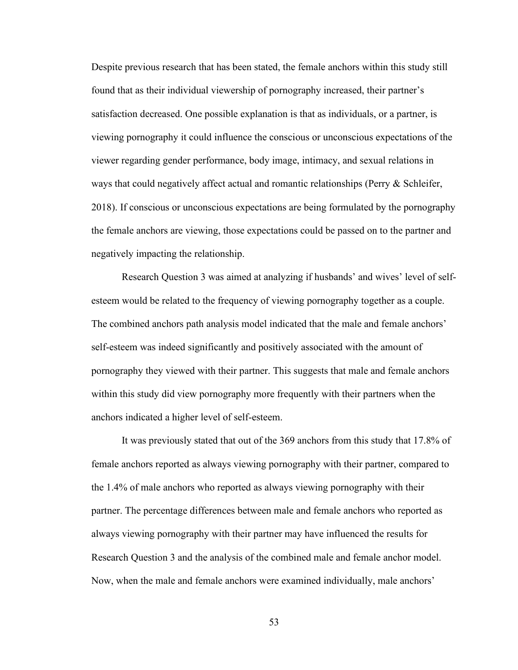Despite previous research that has been stated, the female anchors within this study still found that as their individual viewership of pornography increased, their partner's satisfaction decreased. One possible explanation is that as individuals, or a partner, is viewing pornography it could influence the conscious or unconscious expectations of the viewer regarding gender performance, body image, intimacy, and sexual relations in ways that could negatively affect actual and romantic relationships (Perry & Schleifer, 2018). If conscious or unconscious expectations are being formulated by the pornography the female anchors are viewing, those expectations could be passed on to the partner and negatively impacting the relationship.

Research Question 3 was aimed at analyzing if husbands' and wives' level of selfesteem would be related to the frequency of viewing pornography together as a couple. The combined anchors path analysis model indicated that the male and female anchors' self-esteem was indeed significantly and positively associated with the amount of pornography they viewed with their partner. This suggests that male and female anchors within this study did view pornography more frequently with their partners when the anchors indicated a higher level of self-esteem.

It was previously stated that out of the 369 anchors from this study that 17.8% of female anchors reported as always viewing pornography with their partner, compared to the 1.4% of male anchors who reported as always viewing pornography with their partner. The percentage differences between male and female anchors who reported as always viewing pornography with their partner may have influenced the results for Research Question 3 and the analysis of the combined male and female anchor model. Now, when the male and female anchors were examined individually, male anchors'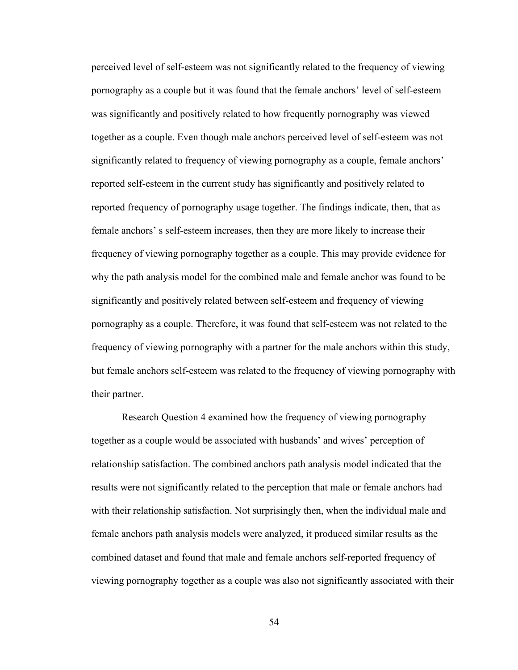perceived level of self-esteem was not significantly related to the frequency of viewing pornography as a couple but it was found that the female anchors' level of self-esteem was significantly and positively related to how frequently pornography was viewed together as a couple. Even though male anchors perceived level of self-esteem was not significantly related to frequency of viewing pornography as a couple, female anchors' reported self-esteem in the current study has significantly and positively related to reported frequency of pornography usage together. The findings indicate, then, that as female anchors' s self-esteem increases, then they are more likely to increase their frequency of viewing pornography together as a couple. This may provide evidence for why the path analysis model for the combined male and female anchor was found to be significantly and positively related between self-esteem and frequency of viewing pornography as a couple. Therefore, it was found that self-esteem was not related to the frequency of viewing pornography with a partner for the male anchors within this study, but female anchors self-esteem was related to the frequency of viewing pornography with their partner.

Research Question 4 examined how the frequency of viewing pornography together as a couple would be associated with husbands' and wives' perception of relationship satisfaction. The combined anchors path analysis model indicated that the results were not significantly related to the perception that male or female anchors had with their relationship satisfaction. Not surprisingly then, when the individual male and female anchors path analysis models were analyzed, it produced similar results as the combined dataset and found that male and female anchors self-reported frequency of viewing pornography together as a couple was also not significantly associated with their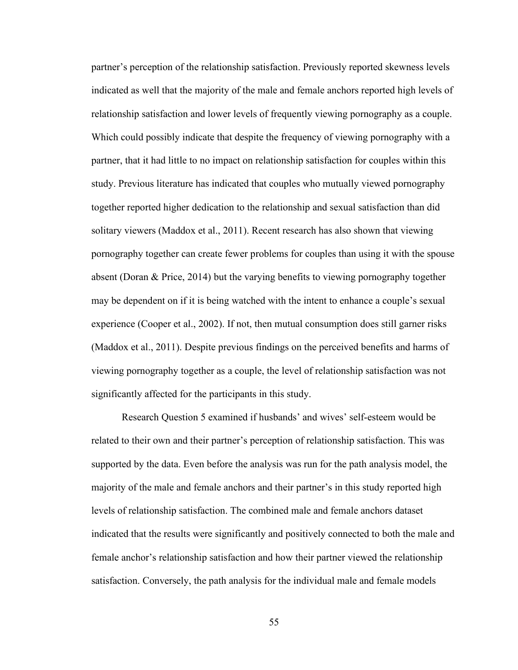partner's perception of the relationship satisfaction. Previously reported skewness levels indicated as well that the majority of the male and female anchors reported high levels of relationship satisfaction and lower levels of frequently viewing pornography as a couple. Which could possibly indicate that despite the frequency of viewing pornography with a partner, that it had little to no impact on relationship satisfaction for couples within this study. Previous literature has indicated that couples who mutually viewed pornography together reported higher dedication to the relationship and sexual satisfaction than did solitary viewers (Maddox et al., 2011). Recent research has also shown that viewing pornography together can create fewer problems for couples than using it with the spouse absent (Doran & Price, 2014) but the varying benefits to viewing pornography together may be dependent on if it is being watched with the intent to enhance a couple's sexual experience (Cooper et al., 2002). If not, then mutual consumption does still garner risks (Maddox et al., 2011). Despite previous findings on the perceived benefits and harms of viewing pornography together as a couple, the level of relationship satisfaction was not significantly affected for the participants in this study.

Research Question 5 examined if husbands' and wives' self-esteem would be related to their own and their partner's perception of relationship satisfaction. This was supported by the data. Even before the analysis was run for the path analysis model, the majority of the male and female anchors and their partner's in this study reported high levels of relationship satisfaction. The combined male and female anchors dataset indicated that the results were significantly and positively connected to both the male and female anchor's relationship satisfaction and how their partner viewed the relationship satisfaction. Conversely, the path analysis for the individual male and female models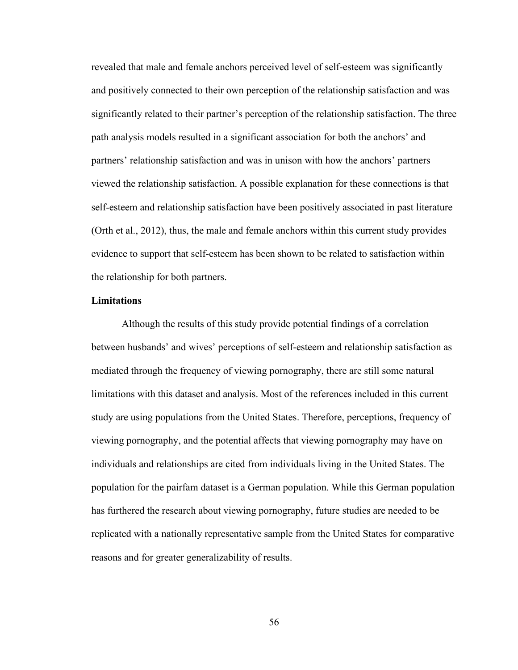revealed that male and female anchors perceived level of self-esteem was significantly and positively connected to their own perception of the relationship satisfaction and was significantly related to their partner's perception of the relationship satisfaction. The three path analysis models resulted in a significant association for both the anchors' and partners' relationship satisfaction and was in unison with how the anchors' partners viewed the relationship satisfaction. A possible explanation for these connections is that self-esteem and relationship satisfaction have been positively associated in past literature (Orth et al., 2012), thus, the male and female anchors within this current study provides evidence to support that self-esteem has been shown to be related to satisfaction within the relationship for both partners.

## **Limitations**

Although the results of this study provide potential findings of a correlation between husbands' and wives' perceptions of self-esteem and relationship satisfaction as mediated through the frequency of viewing pornography, there are still some natural limitations with this dataset and analysis. Most of the references included in this current study are using populations from the United States. Therefore, perceptions, frequency of viewing pornography, and the potential affects that viewing pornography may have on individuals and relationships are cited from individuals living in the United States. The population for the pairfam dataset is a German population. While this German population has furthered the research about viewing pornography, future studies are needed to be replicated with a nationally representative sample from the United States for comparative reasons and for greater generalizability of results.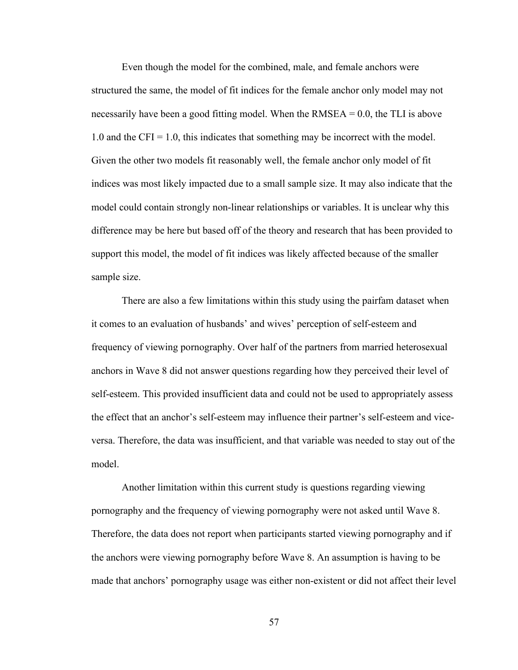Even though the model for the combined, male, and female anchors were structured the same, the model of fit indices for the female anchor only model may not necessarily have been a good fitting model. When the  $RMSEA = 0.0$ , the TLI is above 1.0 and the CFI = 1.0, this indicates that something may be incorrect with the model. Given the other two models fit reasonably well, the female anchor only model of fit indices was most likely impacted due to a small sample size. It may also indicate that the model could contain strongly non-linear relationships or variables. It is unclear why this difference may be here but based off of the theory and research that has been provided to support this model, the model of fit indices was likely affected because of the smaller sample size.

There are also a few limitations within this study using the pairfam dataset when it comes to an evaluation of husbands' and wives' perception of self-esteem and frequency of viewing pornography. Over half of the partners from married heterosexual anchors in Wave 8 did not answer questions regarding how they perceived their level of self-esteem. This provided insufficient data and could not be used to appropriately assess the effect that an anchor's self-esteem may influence their partner's self-esteem and viceversa. Therefore, the data was insufficient, and that variable was needed to stay out of the model.

Another limitation within this current study is questions regarding viewing pornography and the frequency of viewing pornography were not asked until Wave 8. Therefore, the data does not report when participants started viewing pornography and if the anchors were viewing pornography before Wave 8. An assumption is having to be made that anchors' pornography usage was either non-existent or did not affect their level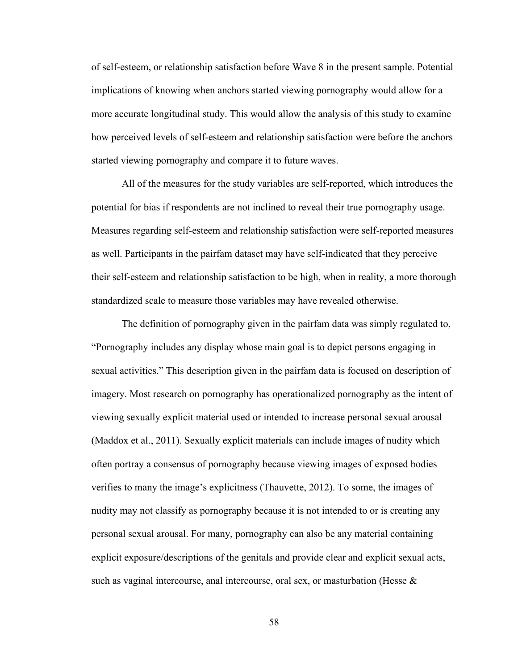of self-esteem, or relationship satisfaction before Wave 8 in the present sample. Potential implications of knowing when anchors started viewing pornography would allow for a more accurate longitudinal study. This would allow the analysis of this study to examine how perceived levels of self-esteem and relationship satisfaction were before the anchors started viewing pornography and compare it to future waves.

All of the measures for the study variables are self-reported, which introduces the potential for bias if respondents are not inclined to reveal their true pornography usage. Measures regarding self-esteem and relationship satisfaction were self-reported measures as well. Participants in the pairfam dataset may have self-indicated that they perceive their self-esteem and relationship satisfaction to be high, when in reality, a more thorough standardized scale to measure those variables may have revealed otherwise.

The definition of pornography given in the pairfam data was simply regulated to, "Pornography includes any display whose main goal is to depict persons engaging in sexual activities." This description given in the pairfam data is focused on description of imagery. Most research on pornography has operationalized pornography as the intent of viewing sexually explicit material used or intended to increase personal sexual arousal (Maddox et al., 2011). Sexually explicit materials can include images of nudity which often portray a consensus of pornography because viewing images of exposed bodies verifies to many the image's explicitness (Thauvette, 2012). To some, the images of nudity may not classify as pornography because it is not intended to or is creating any personal sexual arousal. For many, pornography can also be any material containing explicit exposure/descriptions of the genitals and provide clear and explicit sexual acts, such as vaginal intercourse, anal intercourse, oral sex, or masturbation (Hesse  $\&$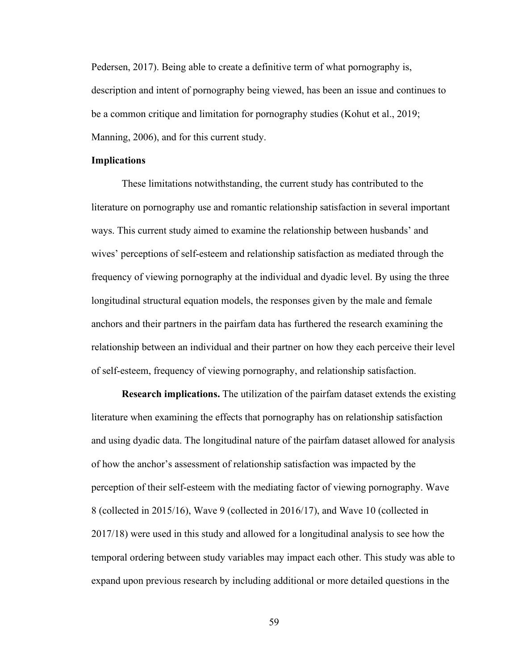Pedersen, 2017). Being able to create a definitive term of what pornography is, description and intent of pornography being viewed, has been an issue and continues to be a common critique and limitation for pornography studies (Kohut et al., 2019; Manning, 2006), and for this current study.

### **Implications**

These limitations notwithstanding, the current study has contributed to the literature on pornography use and romantic relationship satisfaction in several important ways. This current study aimed to examine the relationship between husbands' and wives' perceptions of self-esteem and relationship satisfaction as mediated through the frequency of viewing pornography at the individual and dyadic level. By using the three longitudinal structural equation models, the responses given by the male and female anchors and their partners in the pairfam data has furthered the research examining the relationship between an individual and their partner on how they each perceive their level of self-esteem, frequency of viewing pornography, and relationship satisfaction.

**Research implications.** The utilization of the pairfam dataset extends the existing literature when examining the effects that pornography has on relationship satisfaction and using dyadic data. The longitudinal nature of the pairfam dataset allowed for analysis of how the anchor's assessment of relationship satisfaction was impacted by the perception of their self-esteem with the mediating factor of viewing pornography. Wave 8 (collected in 2015/16), Wave 9 (collected in 2016/17), and Wave 10 (collected in 2017/18) were used in this study and allowed for a longitudinal analysis to see how the temporal ordering between study variables may impact each other. This study was able to expand upon previous research by including additional or more detailed questions in the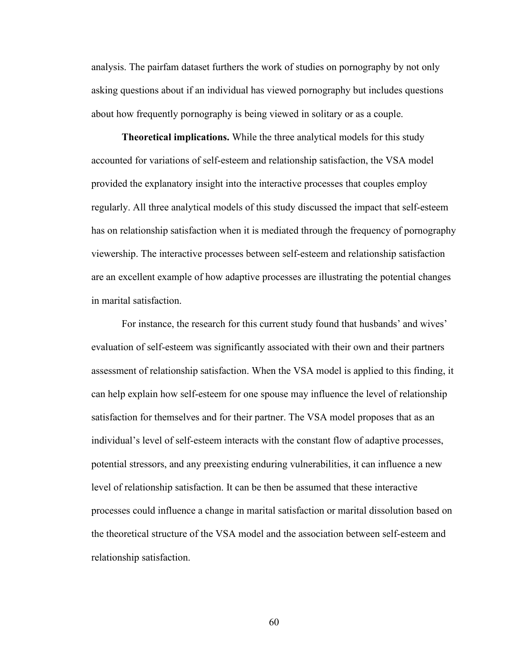analysis. The pairfam dataset furthers the work of studies on pornography by not only asking questions about if an individual has viewed pornography but includes questions about how frequently pornography is being viewed in solitary or as a couple.

**Theoretical implications.** While the three analytical models for this study accounted for variations of self-esteem and relationship satisfaction, the VSA model provided the explanatory insight into the interactive processes that couples employ regularly. All three analytical models of this study discussed the impact that self-esteem has on relationship satisfaction when it is mediated through the frequency of pornography viewership. The interactive processes between self-esteem and relationship satisfaction are an excellent example of how adaptive processes are illustrating the potential changes in marital satisfaction.

For instance, the research for this current study found that husbands' and wives' evaluation of self-esteem was significantly associated with their own and their partners assessment of relationship satisfaction. When the VSA model is applied to this finding, it can help explain how self-esteem for one spouse may influence the level of relationship satisfaction for themselves and for their partner. The VSA model proposes that as an individual's level of self-esteem interacts with the constant flow of adaptive processes, potential stressors, and any preexisting enduring vulnerabilities, it can influence a new level of relationship satisfaction. It can be then be assumed that these interactive processes could influence a change in marital satisfaction or marital dissolution based on the theoretical structure of the VSA model and the association between self-esteem and relationship satisfaction.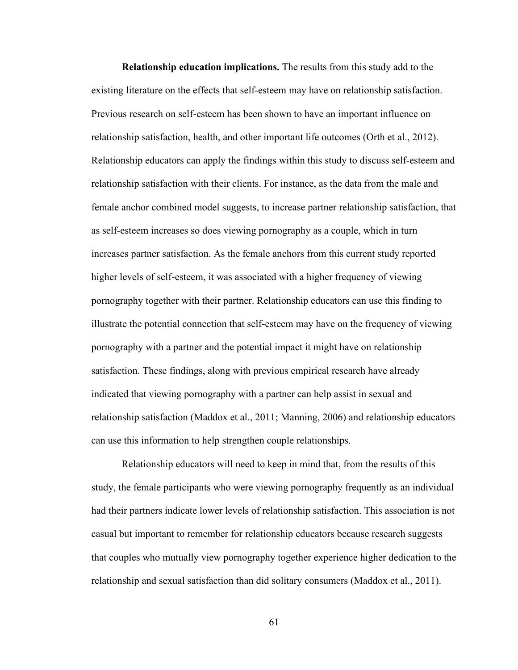**Relationship education implications.** The results from this study add to the existing literature on the effects that self-esteem may have on relationship satisfaction. Previous research on self-esteem has been shown to have an important influence on relationship satisfaction, health, and other important life outcomes (Orth et al., 2012). Relationship educators can apply the findings within this study to discuss self-esteem and relationship satisfaction with their clients. For instance, as the data from the male and female anchor combined model suggests, to increase partner relationship satisfaction, that as self-esteem increases so does viewing pornography as a couple, which in turn increases partner satisfaction. As the female anchors from this current study reported higher levels of self-esteem, it was associated with a higher frequency of viewing pornography together with their partner. Relationship educators can use this finding to illustrate the potential connection that self-esteem may have on the frequency of viewing pornography with a partner and the potential impact it might have on relationship satisfaction. These findings, along with previous empirical research have already indicated that viewing pornography with a partner can help assist in sexual and relationship satisfaction (Maddox et al., 2011; Manning, 2006) and relationship educators can use this information to help strengthen couple relationships.

Relationship educators will need to keep in mind that, from the results of this study, the female participants who were viewing pornography frequently as an individual had their partners indicate lower levels of relationship satisfaction. This association is not casual but important to remember for relationship educators because research suggests that couples who mutually view pornography together experience higher dedication to the relationship and sexual satisfaction than did solitary consumers (Maddox et al., 2011).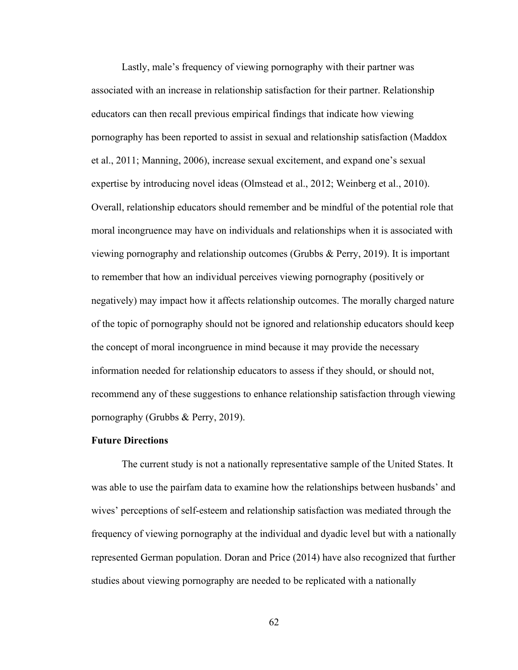Lastly, male's frequency of viewing pornography with their partner was associated with an increase in relationship satisfaction for their partner. Relationship educators can then recall previous empirical findings that indicate how viewing pornography has been reported to assist in sexual and relationship satisfaction (Maddox et al., 2011; Manning, 2006), increase sexual excitement, and expand one's sexual expertise by introducing novel ideas (Olmstead et al., 2012; Weinberg et al., 2010). Overall, relationship educators should remember and be mindful of the potential role that moral incongruence may have on individuals and relationships when it is associated with viewing pornography and relationship outcomes (Grubbs & Perry, 2019). It is important to remember that how an individual perceives viewing pornography (positively or negatively) may impact how it affects relationship outcomes. The morally charged nature of the topic of pornography should not be ignored and relationship educators should keep the concept of moral incongruence in mind because it may provide the necessary information needed for relationship educators to assess if they should, or should not, recommend any of these suggestions to enhance relationship satisfaction through viewing pornography (Grubbs & Perry, 2019).

## **Future Directions**

The current study is not a nationally representative sample of the United States. It was able to use the pairfam data to examine how the relationships between husbands' and wives' perceptions of self-esteem and relationship satisfaction was mediated through the frequency of viewing pornography at the individual and dyadic level but with a nationally represented German population. Doran and Price (2014) have also recognized that further studies about viewing pornography are needed to be replicated with a nationally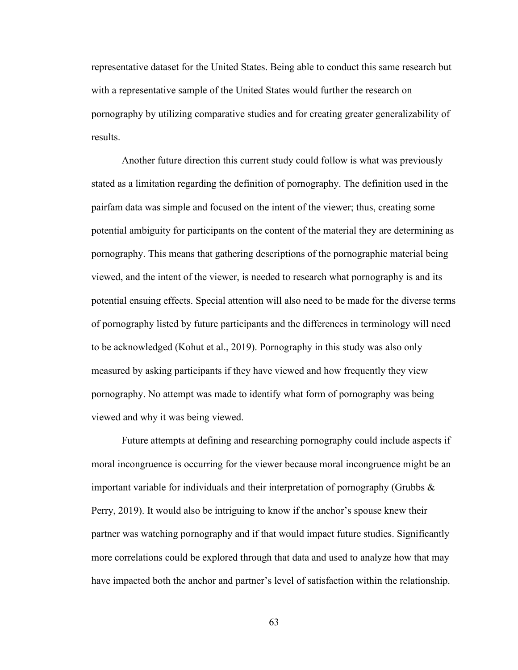representative dataset for the United States. Being able to conduct this same research but with a representative sample of the United States would further the research on pornography by utilizing comparative studies and for creating greater generalizability of results.

Another future direction this current study could follow is what was previously stated as a limitation regarding the definition of pornography. The definition used in the pairfam data was simple and focused on the intent of the viewer; thus, creating some potential ambiguity for participants on the content of the material they are determining as pornography. This means that gathering descriptions of the pornographic material being viewed, and the intent of the viewer, is needed to research what pornography is and its potential ensuing effects. Special attention will also need to be made for the diverse terms of pornography listed by future participants and the differences in terminology will need to be acknowledged (Kohut et al., 2019). Pornography in this study was also only measured by asking participants if they have viewed and how frequently they view pornography. No attempt was made to identify what form of pornography was being viewed and why it was being viewed.

Future attempts at defining and researching pornography could include aspects if moral incongruence is occurring for the viewer because moral incongruence might be an important variable for individuals and their interpretation of pornography (Grubbs  $\&$ Perry, 2019). It would also be intriguing to know if the anchor's spouse knew their partner was watching pornography and if that would impact future studies. Significantly more correlations could be explored through that data and used to analyze how that may have impacted both the anchor and partner's level of satisfaction within the relationship.

63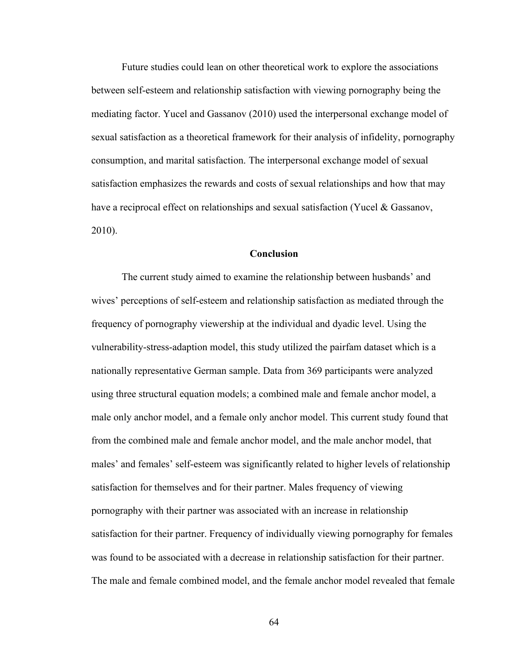Future studies could lean on other theoretical work to explore the associations between self-esteem and relationship satisfaction with viewing pornography being the mediating factor. Yucel and Gassanov (2010) used the interpersonal exchange model of sexual satisfaction as a theoretical framework for their analysis of infidelity, pornography consumption, and marital satisfaction. The interpersonal exchange model of sexual satisfaction emphasizes the rewards and costs of sexual relationships and how that may have a reciprocal effect on relationships and sexual satisfaction (Yucel & Gassanov, 2010).

#### **Conclusion**

The current study aimed to examine the relationship between husbands' and wives' perceptions of self-esteem and relationship satisfaction as mediated through the frequency of pornography viewership at the individual and dyadic level. Using the vulnerability-stress-adaption model, this study utilized the pairfam dataset which is a nationally representative German sample. Data from 369 participants were analyzed using three structural equation models; a combined male and female anchor model, a male only anchor model, and a female only anchor model. This current study found that from the combined male and female anchor model, and the male anchor model, that males' and females' self-esteem was significantly related to higher levels of relationship satisfaction for themselves and for their partner. Males frequency of viewing pornography with their partner was associated with an increase in relationship satisfaction for their partner. Frequency of individually viewing pornography for females was found to be associated with a decrease in relationship satisfaction for their partner. The male and female combined model, and the female anchor model revealed that female

64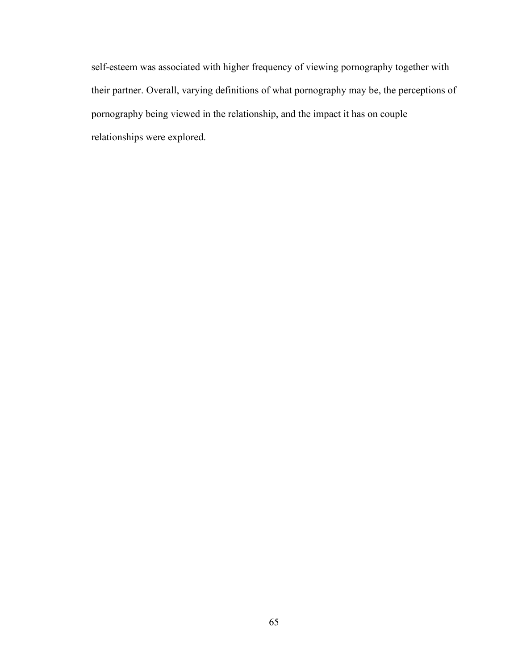self-esteem was associated with higher frequency of viewing pornography together with their partner. Overall, varying definitions of what pornography may be, the perceptions of pornography being viewed in the relationship, and the impact it has on couple relationships were explored.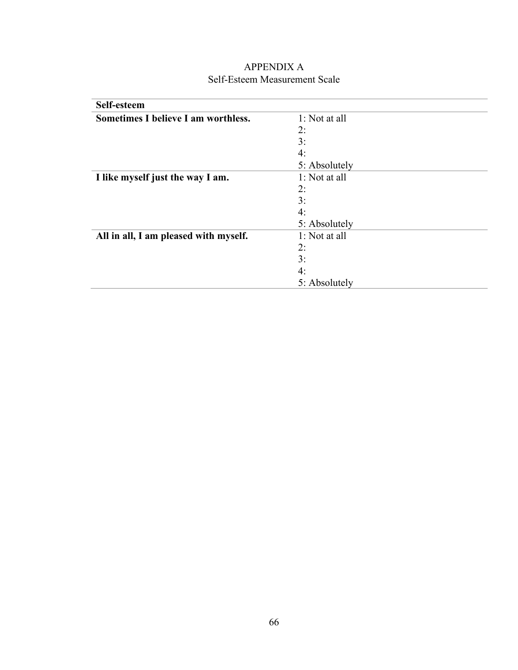| Self-esteem                           |               |
|---------------------------------------|---------------|
| Sometimes I believe I am worthless.   | 1: Not at all |
|                                       | 2:            |
|                                       | 3:            |
|                                       | 4:            |
|                                       | 5: Absolutely |
| I like myself just the way I am.      | 1: Not at all |
|                                       | 2:            |
|                                       | 3:            |
|                                       | 4:            |
|                                       | 5: Absolutely |
| All in all, I am pleased with myself. | 1: Not at all |
|                                       | 2:            |
|                                       | 3:            |
|                                       | 4:            |
|                                       | 5: Absolutely |

### APPENDIX A Self-Esteem Measurement Scale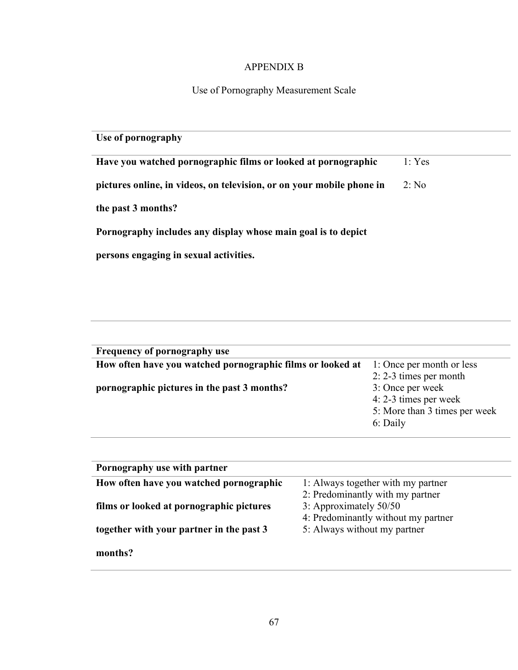## APPENDIX B

# Use of Pornography Measurement Scale

| Use of pornography                                                    |        |
|-----------------------------------------------------------------------|--------|
| Have you watched pornographic films or looked at pornographic         | 1: Yes |
| pictures online, in videos, on television, or on your mobile phone in | 2: No  |
| the past 3 months?                                                    |        |
| Pornography includes any display whose main goal is to depict         |        |
| persons engaging in sexual activities.                                |        |
|                                                                       |        |

| Frequency of pornography use                               |                               |  |
|------------------------------------------------------------|-------------------------------|--|
| How often have you watched pornographic films or looked at | 1: Once per month or less     |  |
|                                                            | $2: 2-3$ times per month      |  |
| pornographic pictures in the past 3 months?                | 3: Once per week              |  |
|                                                            | 4: 2-3 times per week         |  |
|                                                            | 5: More than 3 times per week |  |
|                                                            | 6: Daily                      |  |
|                                                            |                               |  |

| Pornography use with partner             |                                     |  |
|------------------------------------------|-------------------------------------|--|
| How often have you watched pornographic  | 1: Always together with my partner  |  |
|                                          | 2: Predominantly with my partner    |  |
| films or looked at pornographic pictures | 3: Approximately 50/50              |  |
|                                          | 4: Predominantly without my partner |  |
| together with your partner in the past 3 | 5: Always without my partner        |  |
| months?                                  |                                     |  |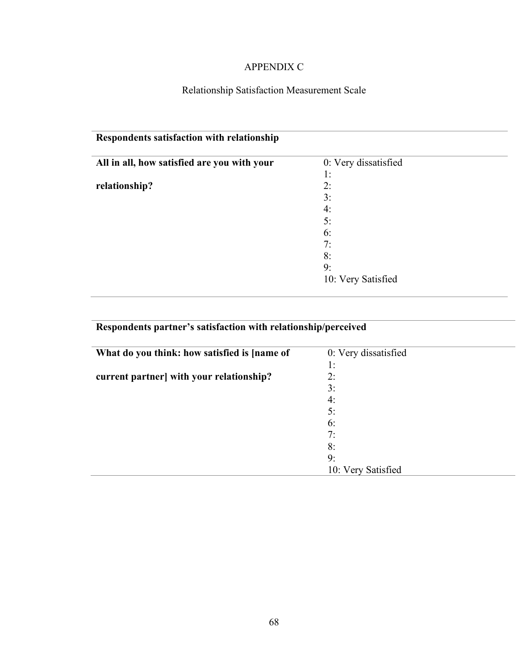### APPENDIX C

# Relationship Satisfaction Measurement Scale

| Respondents satisfaction with relationship  |                      |
|---------------------------------------------|----------------------|
| All in all, how satisfied are you with your | 0: Very dissatisfied |
|                                             | 1:                   |
| relationship?                               | 2:                   |
|                                             | 3:                   |
|                                             | 4:                   |
|                                             | 5:                   |
|                                             | 6:                   |
|                                             | 7:                   |
|                                             | 8:                   |
|                                             | 9:                   |
|                                             | 10: Very Satisfied   |

# **Respondents partner's satisfaction with relationship/perceived**

| What do you think: how satisfied is [name of | 0: Very dissatisfied |  |
|----------------------------------------------|----------------------|--|
|                                              | 1:                   |  |
| current partner] with your relationship?     | 2:                   |  |
|                                              | 3:                   |  |
|                                              | 4:                   |  |
|                                              | 5:                   |  |
|                                              | 6:                   |  |
|                                              | 7:                   |  |
|                                              | 8:                   |  |
|                                              | 9:                   |  |
|                                              | 10: Very Satisfied   |  |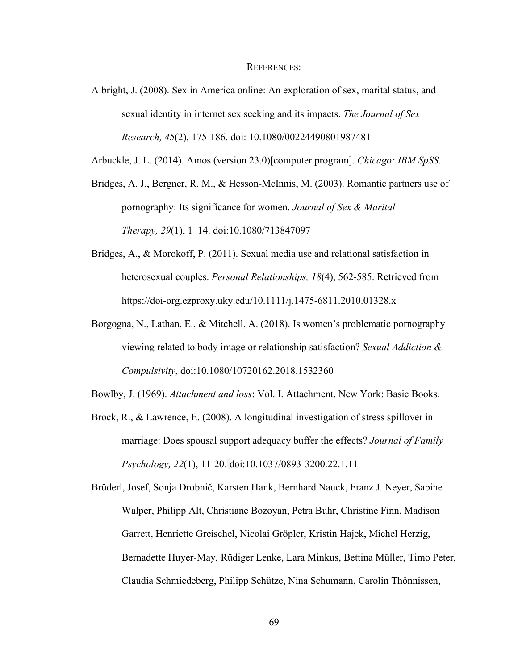#### REFERENCES:

Albright, J. (2008). Sex in America online: An exploration of sex, marital status, and sexual identity in internet sex seeking and its impacts. *The Journal of Sex Research, 45*(2), 175-186. doi: 10.1080/00224490801987481

Arbuckle, J. L. (2014). Amos (version 23.0)[computer program]. *Chicago: IBM SpSS*.

Bridges, A. J., Bergner, R. M., & Hesson-McInnis, M. (2003). Romantic partners use of pornography: Its significance for women. *Journal of Sex & Marital Therapy, 29*(1), 1–14. doi:10.1080/713847097

- Bridges, A., & Morokoff, P. (2011). Sexual media use and relational satisfaction in heterosexual couples. *Personal Relationships, 18*(4), 562-585. Retrieved from https://doi-org.ezproxy.uky.edu/10.1111/j.1475-6811.2010.01328.x
- Borgogna, N., Lathan, E., & Mitchell, A. (2018). Is women's problematic pornography viewing related to body image or relationship satisfaction? *Sexual Addiction & Compulsivity*, doi:10.1080/10720162.2018.1532360

Bowlby, J. (1969). *Attachment and loss*: Vol. I. Attachment. New York: Basic Books.

Brock, R., & Lawrence, E. (2008). A longitudinal investigation of stress spillover in marriage: Does spousal support adequacy buffer the effects? *Journal of Family Psychology, 22*(1), 11-20. doi:10.1037/0893-3200.22.1.11

Brüderl, Josef, Sonja Drobnič, Karsten Hank, Bernhard Nauck, Franz J. Neyer, Sabine Walper, Philipp Alt, Christiane Bozoyan, Petra Buhr, Christine Finn, Madison Garrett, Henriette Greischel, Nicolai Gröpler, Kristin Hajek, Michel Herzig, Bernadette Huyer-May, Rüdiger Lenke, Lara Minkus, Bettina Müller, Timo Peter, Claudia Schmiedeberg, Philipp Schütze, Nina Schumann, Carolin Thönnissen,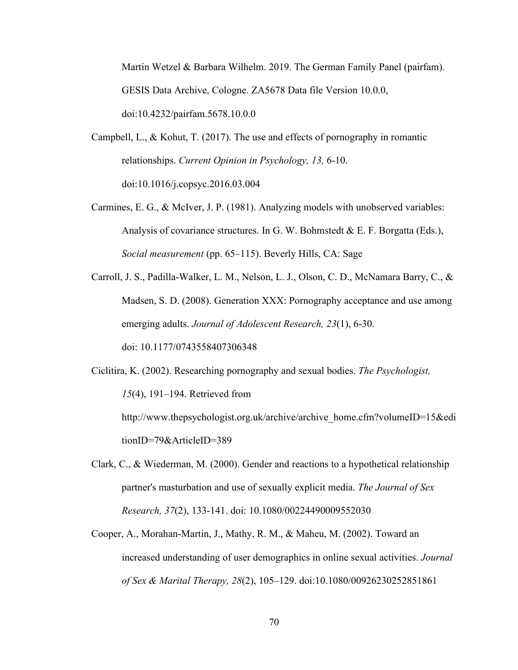Martin Wetzel & Barbara Wilhelm. 2019. The German Family Panel (pairfam). GESIS Data Archive, Cologne. ZA5678 Data file Version 10.0.0, doi:10.4232/pairfam.5678.10.0.0

- Campbell, L., & Kohut, T. (2017). The use and effects of pornography in romantic relationships. *Current Opinion in Psychology, 13,* 6-10. doi:10.1016/j.copsyc.2016.03.004
- Carmines, E. G., & McIver, J. P. (1981). Analyzing models with unobserved variables: Analysis of covariance structures. In G. W. Bohmstedt & E. F. Borgatta (Eds.), *Social measurement* (pp. 65–115). Beverly Hills, CA: Sage
- Carroll, J. S., Padilla-Walker, L. M., Nelson, L. J., Olson, C. D., McNamara Barry, C., & Madsen, S. D. (2008). Generation XXX: Pornography acceptance and use among emerging adults. *Journal of Adolescent Research, 23*(1), 6-30. doi: 10.1177/0743558407306348
- Ciclitira, K. (2002). Researching pornography and sexual bodies. *The Psychologist, 15*(4), 191–194. Retrieved from

http://www.thepsychologist.org.uk/archive/archive\_home.cfm?volumeID=15&edi tionID=79&ArticleID=389

- Clark, C., & Wiederman, M. (2000). Gender and reactions to a hypothetical relationship partner's masturbation and use of sexually explicit media. *The Journal of Sex Research, 37*(2), 133-141. doi: 10.1080/00224490009552030
- Cooper, A., Morahan‐Martin, J., Mathy, R. M., & Maheu, M. (2002). Toward an increased understanding of user demographics in online sexual activities. *Journal of Sex & Marital Therapy, 28*(2), 105–129. doi:10.1080/00926230252851861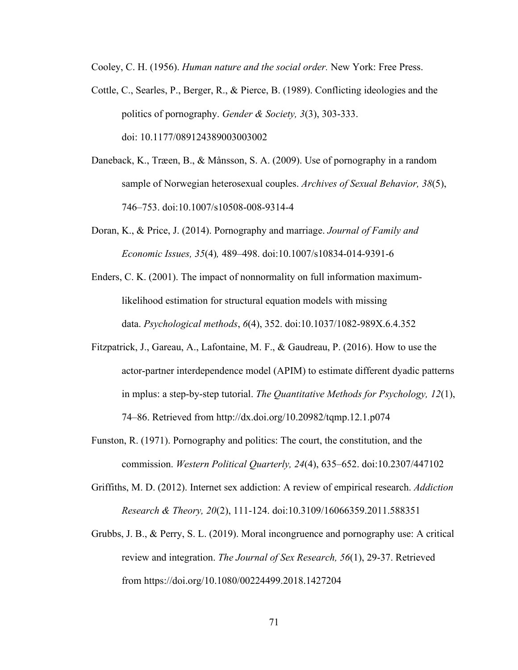Cooley, C. H. (1956). *Human nature and the social order.* New York: Free Press.

- Cottle, C., Searles, P., Berger, R., & Pierce, B. (1989). Conflicting ideologies and the politics of pornography. *Gender & Society, 3*(3), 303-333. doi: 10.1177/089124389003003002
- Daneback, K., Træen, B., & Månsson, S. A. (2009). Use of pornography in a random sample of Norwegian heterosexual couples. *Archives of Sexual Behavior, 38*(5), 746–753. doi:10.1007/s10508-008-9314-4
- Doran, K., & Price, J. (2014). Pornography and marriage. *Journal of Family and Economic Issues, 35*(4)*,* 489–498. doi:10.1007/s10834-014-9391-6
- Enders, C. K. (2001). The impact of nonnormality on full information maximumlikelihood estimation for structural equation models with missing data. *Psychological methods*, *6*(4), 352. doi:10.1037/1082-989X.6.4.352
- Fitzpatrick, J., Gareau, A., Lafontaine, M. F., & Gaudreau, P. (2016). How to use the actor-partner interdependence model (APIM) to estimate different dyadic patterns in mplus: a step-by-step tutorial. *The Quantitative Methods for Psychology, 12*(1), 74–86. Retrieved from http://dx.doi.org/10.20982/tqmp.12.1.p074
- Funston, R. (1971). Pornography and politics: The court, the constitution, and the commission. *Western Political Quarterly, 24*(4), 635–652. doi:10.2307/447102
- Griffiths, M. D. (2012). Internet sex addiction: A review of empirical research. *Addiction Research & Theory, 20*(2), 111-124. doi:10.3109/16066359.2011.588351
- Grubbs, J. B., & Perry, S. L. (2019). Moral incongruence and pornography use: A critical review and integration. *The Journal of Sex Research, 56*(1), 29-37. Retrieved from https://doi.org/10.1080/00224499.2018.1427204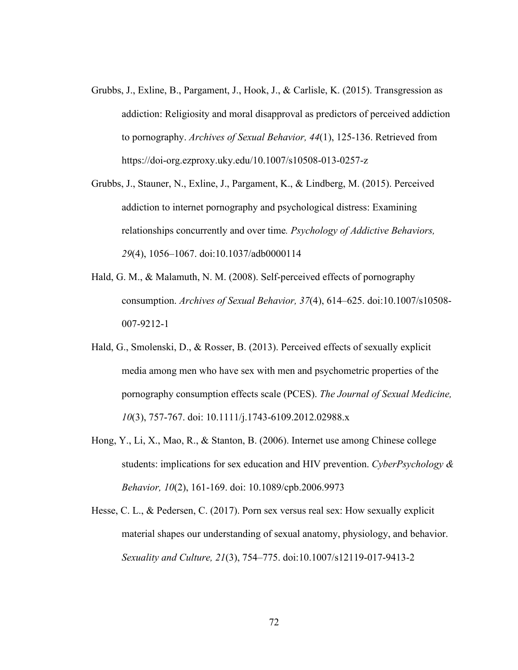- Grubbs, J., Exline, B., Pargament, J., Hook, J., & Carlisle, K. (2015). Transgression as addiction: Religiosity and moral disapproval as predictors of perceived addiction to pornography. *Archives of Sexual Behavior, 44*(1), 125-136. Retrieved from https://doi-org.ezproxy.uky.edu/10.1007/s10508-013-0257-z
- Grubbs, J., Stauner, N., Exline, J., Pargament, K., & Lindberg, M. (2015). Perceived addiction to internet pornography and psychological distress: Examining relationships concurrently and over time*. Psychology of Addictive Behaviors, 29*(4), 1056–1067. doi:10.1037/adb0000114
- Hald, G. M., & Malamuth, N. M. (2008). Self-perceived effects of pornography consumption. *Archives of Sexual Behavior, 37*(4), 614–625. doi:10.1007/s10508- 007-9212-1
- Hald, G., Smolenski, D., & Rosser, B. (2013). Perceived effects of sexually explicit media among men who have sex with men and psychometric properties of the pornography consumption effects scale (PCES). *The Journal of Sexual Medicine, 10*(3), 757-767. doi: 10.1111/j.1743-6109.2012.02988.x
- Hong, Y., Li, X., Mao, R., & Stanton, B. (2006). Internet use among Chinese college students: implications for sex education and HIV prevention. *CyberPsychology & Behavior, 10*(2), 161-169. doi: 10.1089/cpb.2006.9973
- Hesse, C. L., & Pedersen, C. (2017). Porn sex versus real sex: How sexually explicit material shapes our understanding of sexual anatomy, physiology, and behavior. *Sexuality and Culture, 21*(3), 754–775. doi:10.1007/s12119-017-9413-2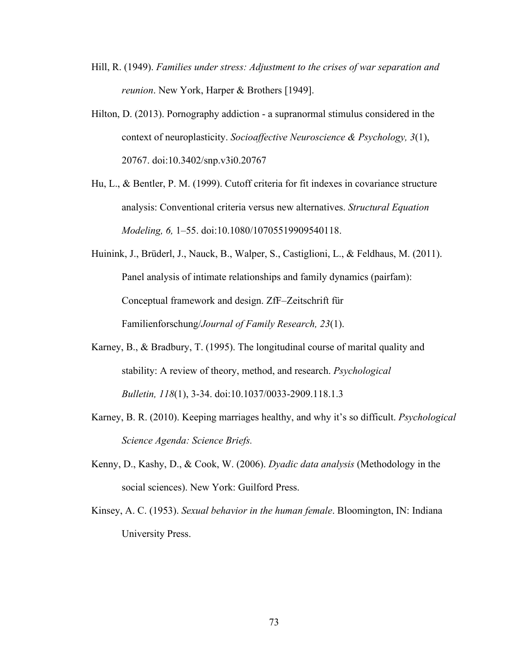- Hill, R. (1949). *Families under stress: Adjustment to the crises of war separation and reunion*. New York, Harper & Brothers [1949].
- Hilton, D. (2013). Pornography addiction a supranormal stimulus considered in the context of neuroplasticity. *Socioaffective Neuroscience & Psychology, 3*(1), 20767. doi:10.3402/snp.v3i0.20767
- Hu, L., & Bentler, P. M. (1999). Cutoff criteria for fit indexes in covariance structure analysis: Conventional criteria versus new alternatives. *Structural Equation Modeling, 6,* 1–55. doi:10.1080/10705519909540118.
- Huinink, J., Brüderl, J., Nauck, B., Walper, S., Castiglioni, L., & Feldhaus, M. (2011). Panel analysis of intimate relationships and family dynamics (pairfam): Conceptual framework and design. ZfF–Zeitschrift für Familienforschung/*Journal of Family Research, 23*(1).
- Karney, B., & Bradbury, T. (1995). The longitudinal course of marital quality and stability: A review of theory, method, and research. *Psychological Bulletin, 118*(1), 3-34. doi:10.1037/0033-2909.118.1.3
- Karney, B. R. (2010). Keeping marriages healthy, and why it's so difficult. *Psychological Science Agenda: Science Briefs.*
- Kenny, D., Kashy, D., & Cook, W. (2006). *Dyadic data analysis* (Methodology in the social sciences). New York: Guilford Press.
- Kinsey, A. C. (1953). *Sexual behavior in the human female*. Bloomington, IN: Indiana University Press.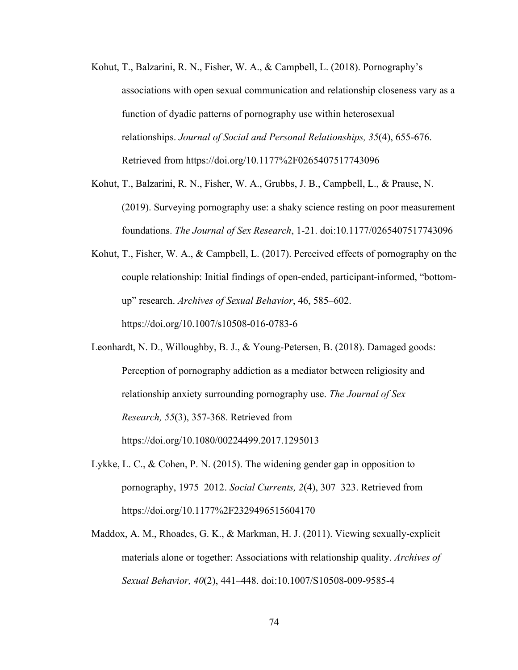- Kohut, T., Balzarini, R. N., Fisher, W. A., & Campbell, L. (2018). Pornography's associations with open sexual communication and relationship closeness vary as a function of dyadic patterns of pornography use within heterosexual relationships. *Journal of Social and Personal Relationships, 35*(4), 655-676. Retrieved from https://doi.org/10.1177%2F0265407517743096
- Kohut, T., Balzarini, R. N., Fisher, W. A., Grubbs, J. B., Campbell, L., & Prause, N. (2019). Surveying pornography use: a shaky science resting on poor measurement foundations. *The Journal of Sex Research*, 1-21. doi:10.1177/0265407517743096
- Kohut, T., Fisher, W. A., & Campbell, L. (2017). Perceived effects of pornography on the couple relationship: Initial findings of open-ended, participant-informed, "bottomup" research. *Archives of Sexual Behavior*, 46, 585–602. https://doi.org/10.1007/s10508-016-0783-6
- Leonhardt, N. D., Willoughby, B. J., & Young-Petersen, B. (2018). Damaged goods: Perception of pornography addiction as a mediator between religiosity and relationship anxiety surrounding pornography use. *The Journal of Sex Research, 55*(3), 357-368. Retrieved from https://doi.org/10.1080/00224499.2017.1295013
- Lykke, L. C., & Cohen, P. N. (2015). The widening gender gap in opposition to pornography, 1975–2012. *Social Currents, 2*(4), 307–323. Retrieved from https://doi.org/10.1177%2F2329496515604170
- Maddox, A. M., Rhoades, G. K., & Markman, H. J. (2011). Viewing sexually-explicit materials alone or together: Associations with relationship quality. *Archives of Sexual Behavior, 40*(2), 441–448. doi:10.1007/S10508-009-9585-4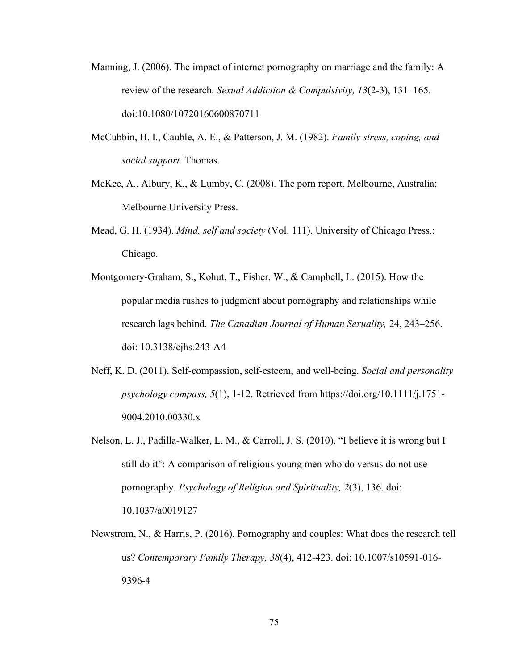- Manning, J. (2006). The impact of internet pornography on marriage and the family: A review of the research. *Sexual Addiction & Compulsivity, 13*(2-3), 131–165. doi:10.1080/10720160600870711
- McCubbin, H. I., Cauble, A. E., & Patterson, J. M. (1982). *Family stress, coping, and social support.* Thomas.
- McKee, A., Albury, K., & Lumby, C. (2008). The porn report. Melbourne, Australia: Melbourne University Press.
- Mead, G. H. (1934). *Mind, self and society* (Vol. 111). University of Chicago Press.: Chicago.
- Montgomery-Graham, S., Kohut, T., Fisher, W., & Campbell, L. (2015). How the popular media rushes to judgment about pornography and relationships while research lags behind. *The Canadian Journal of Human Sexuality,* 24, 243–256. doi: 10.3138/cjhs.243-A4
- Neff, K. D. (2011). Self‐compassion, self‐esteem, and well‐being. *Social and personality psychology compass, 5*(1), 1-12. Retrieved from https://doi.org/10.1111/j.1751- 9004.2010.00330.x
- Nelson, L. J., Padilla-Walker, L. M., & Carroll, J. S. (2010). "I believe it is wrong but I still do it": A comparison of religious young men who do versus do not use pornography. *Psychology of Religion and Spirituality, 2*(3), 136. doi: 10.1037/a0019127
- Newstrom, N., & Harris, P. (2016). Pornography and couples: What does the research tell us? *Contemporary Family Therapy, 38*(4), 412-423. doi: 10.1007/s10591-016- 9396-4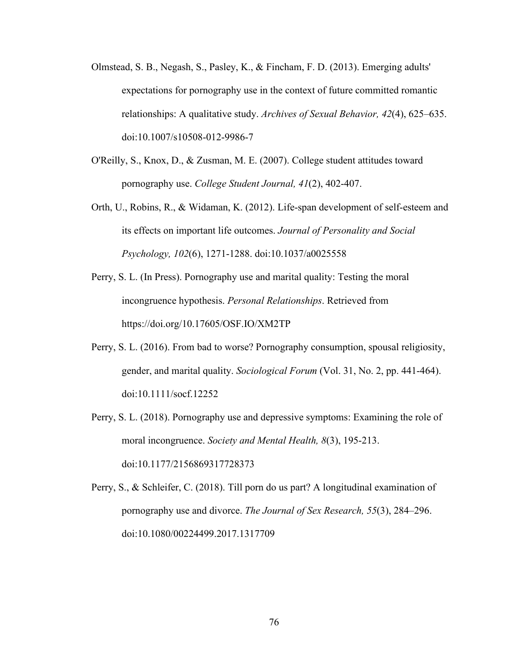- Olmstead, S. B., Negash, S., Pasley, K., & Fincham, F. D. (2013). Emerging adults' expectations for pornography use in the context of future committed romantic relationships: A qualitative study. *Archives of Sexual Behavior, 42*(4), 625–635. doi:10.1007/s10508-012-9986-7
- O'Reilly, S., Knox, D., & Zusman, M. E. (2007). College student attitudes toward pornography use. *College Student Journal, 41*(2), 402-407.
- Orth, U., Robins, R., & Widaman, K. (2012). Life-span development of self-esteem and its effects on important life outcomes. *Journal of Personality and Social Psychology, 102*(6), 1271-1288. doi:10.1037/a0025558
- Perry, S. L. (In Press). Pornography use and marital quality: Testing the moral incongruence hypothesis. *Personal Relationships*. Retrieved from https://doi.org/10.17605/OSF.IO/XM2TP
- Perry, S. L. (2016). From bad to worse? Pornography consumption, spousal religiosity, gender, and marital quality. *Sociological Forum* (Vol. 31, No. 2, pp. 441-464). doi:10.1111/socf.12252
- Perry, S. L. (2018). Pornography use and depressive symptoms: Examining the role of moral incongruence. *Society and Mental Health, 8*(3), 195-213. doi:10.1177/2156869317728373

Perry, S., & Schleifer, C. (2018). Till porn do us part? A longitudinal examination of pornography use and divorce. *The Journal of Sex Research, 55*(3), 284–296. doi:10.1080/00224499.2017.1317709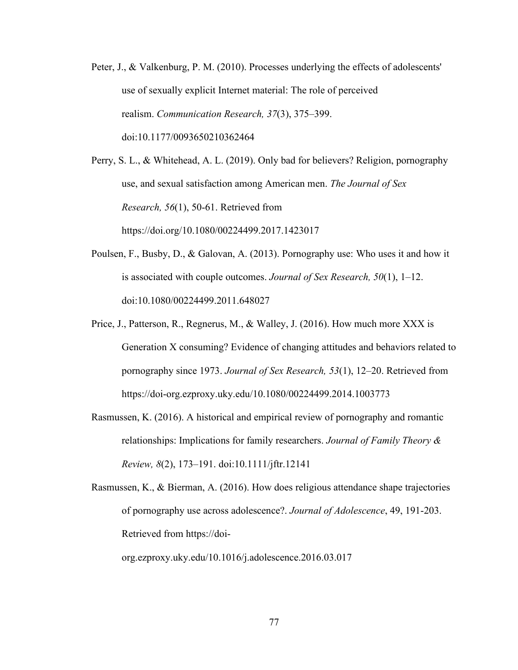Peter, J., & Valkenburg, P. M. (2010). Processes underlying the effects of adolescents' use of sexually explicit Internet material: The role of perceived realism. *Communication Research, 37*(3), 375–399. doi:10.1177/0093650210362464

Perry, S. L., & Whitehead, A. L. (2019). Only bad for believers? Religion, pornography use, and sexual satisfaction among American men. *The Journal of Sex Research, 56*(1), 50-61. Retrieved from https://doi.org/10.1080/00224499.2017.1423017

- Poulsen, F., Busby, D., & Galovan, A. (2013). Pornography use: Who uses it and how it is associated with couple outcomes. *Journal of Sex Research, 50*(1), 1–12. doi:10.1080/00224499.2011.648027
- Price, J., Patterson, R., Regnerus, M., & Walley, J. (2016). How much more XXX is Generation X consuming? Evidence of changing attitudes and behaviors related to pornography since 1973. *Journal of Sex Research, 53*(1), 12–20. Retrieved from https://doi-org.ezproxy.uky.edu/10.1080/00224499.2014.1003773
- Rasmussen, K. (2016). A historical and empirical review of pornography and romantic relationships: Implications for family researchers. *Journal of Family Theory & Review, 8*(2), 173–191. doi:10.1111/jftr.12141

Rasmussen, K., & Bierman, A. (2016). How does religious attendance shape trajectories of pornography use across adolescence?. *Journal of Adolescence*, 49, 191-203. Retrieved from https://doi-

org.ezproxy.uky.edu/10.1016/j.adolescence.2016.03.017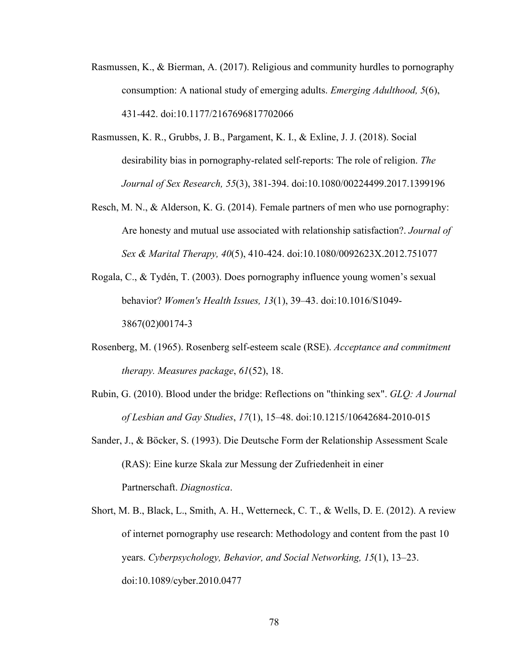- Rasmussen, K., & Bierman, A. (2017). Religious and community hurdles to pornography consumption: A national study of emerging adults. *Emerging Adulthood, 5*(6), 431-442. doi:10.1177/2167696817702066
- Rasmussen, K. R., Grubbs, J. B., Pargament, K. I., & Exline, J. J. (2018). Social desirability bias in pornography-related self-reports: The role of religion. *The Journal of Sex Research, 55*(3), 381-394. doi:10.1080/00224499.2017.1399196
- Resch, M. N., & Alderson, K. G. (2014). Female partners of men who use pornography: Are honesty and mutual use associated with relationship satisfaction?. *Journal of Sex & Marital Therapy, 40*(5), 410-424. doi:10.1080/0092623X.2012.751077
- Rogala, C., & Tydén, T. (2003). Does pornography influence young women's sexual behavior? *Women's Health Issues, 13*(1), 39–43. doi:10.1016/S1049- 3867(02)00174-3
- Rosenberg, M. (1965). Rosenberg self-esteem scale (RSE). *Acceptance and commitment therapy. Measures package*, *61*(52), 18.
- Rubin, G. (2010). Blood under the bridge: Reflections on "thinking sex". *GLQ: A Journal of Lesbian and Gay Studies*, *17*(1), 15–48. doi:10.1215/10642684-2010-015
- Sander, J., & Böcker, S. (1993). Die Deutsche Form der Relationship Assessment Scale (RAS): Eine kurze Skala zur Messung der Zufriedenheit in einer Partnerschaft. *Diagnostica*.
- Short, M. B., Black, L., Smith, A. H., Wetterneck, C. T., & Wells, D. E. (2012). A review of internet pornography use research: Methodology and content from the past 10 years. *Cyberpsychology, Behavior, and Social Networking, 15*(1), 13–23. doi:10.1089/cyber.2010.0477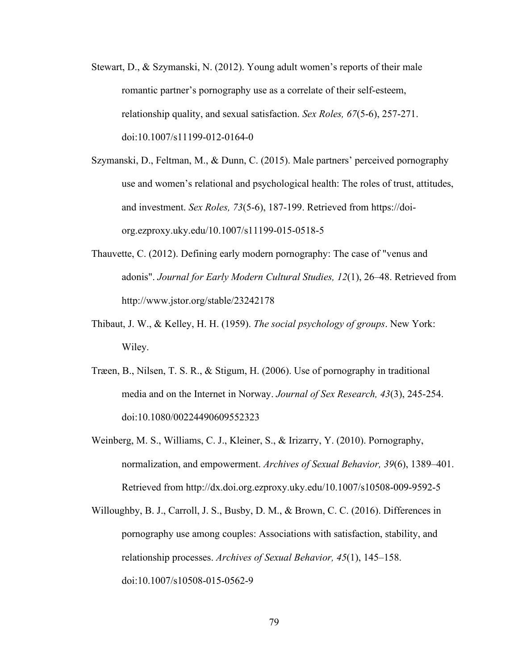- Stewart, D., & Szymanski, N. (2012). Young adult women's reports of their male romantic partner's pornography use as a correlate of their self-esteem, relationship quality, and sexual satisfaction. *Sex Roles, 67*(5-6), 257-271. doi:10.1007/s11199-012-0164-0
- Szymanski, D., Feltman, M., & Dunn, C. (2015). Male partners' perceived pornography use and women's relational and psychological health: The roles of trust, attitudes, and investment. *Sex Roles, 73*(5-6), 187-199. Retrieved from https://doiorg.ezproxy.uky.edu/10.1007/s11199-015-0518-5
- Thauvette, C. (2012). Defining early modern pornography: The case of "venus and adonis". *Journal for Early Modern Cultural Studies, 12*(1), 26–48. Retrieved from http://www.jstor.org/stable/23242178
- Thibaut, J. W., & Kelley, H. H. (1959). *The social psychology of groups*. New York: Wiley.
- Træen, B., Nilsen, T. S. R., & Stigum, H. (2006). Use of pornography in traditional media and on the Internet in Norway. *Journal of Sex Research, 43*(3), 245-254. doi:10.1080/00224490609552323
- Weinberg, M. S., Williams, C. J., Kleiner, S., & Irizarry, Y. (2010). Pornography, normalization, and empowerment. *Archives of Sexual Behavior, 39*(6), 1389–401. Retrieved from http://dx.doi.org.ezproxy.uky.edu/10.1007/s10508-009-9592-5
- Willoughby, B. J., Carroll, J. S., Busby, D. M., & Brown, C. C. (2016). Differences in pornography use among couples: Associations with satisfaction, stability, and relationship processes. *Archives of Sexual Behavior, 45*(1), 145–158. doi:10.1007/s10508-015-0562-9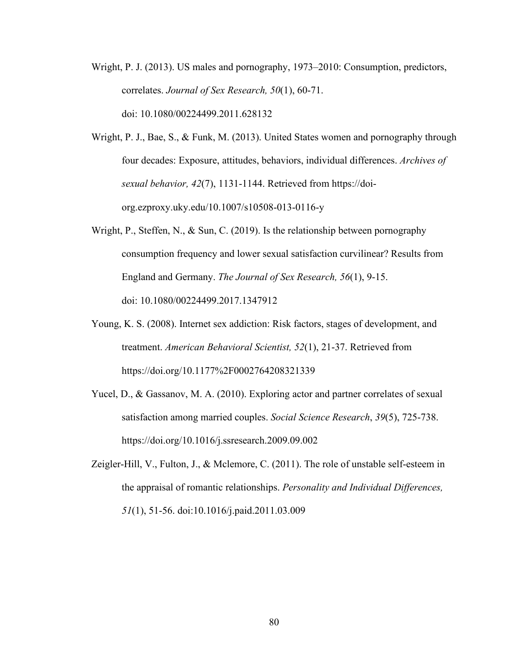- Wright, P. J. (2013). US males and pornography, 1973–2010: Consumption, predictors, correlates. *Journal of Sex Research, 50*(1), 60-71. doi: 10.1080/00224499.2011.628132
- Wright, P. J., Bae, S., & Funk, M. (2013). United States women and pornography through four decades: Exposure, attitudes, behaviors, individual differences. *Archives of sexual behavior, 42*(7), 1131-1144. Retrieved from https://doiorg.ezproxy.uky.edu/10.1007/s10508-013-0116-y
- Wright, P., Steffen, N., & Sun, C. (2019). Is the relationship between pornography consumption frequency and lower sexual satisfaction curvilinear? Results from England and Germany. *The Journal of Sex Research, 56*(1), 9-15. doi: 10.1080/00224499.2017.1347912
- Young, K. S. (2008). Internet sex addiction: Risk factors, stages of development, and treatment. *American Behavioral Scientist, 52*(1), 21-37. Retrieved from https://doi.org/10.1177%2F0002764208321339
- Yucel, D., & Gassanov, M. A. (2010). Exploring actor and partner correlates of sexual satisfaction among married couples. *Social Science Research*, *39*(5), 725-738. https://doi.org/10.1016/j.ssresearch.2009.09.002
- Zeigler-Hill, V., Fulton, J., & Mclemore, C. (2011). The role of unstable self-esteem in the appraisal of romantic relationships. *Personality and Individual Differences, 51*(1), 51-56. doi:10.1016/j.paid.2011.03.009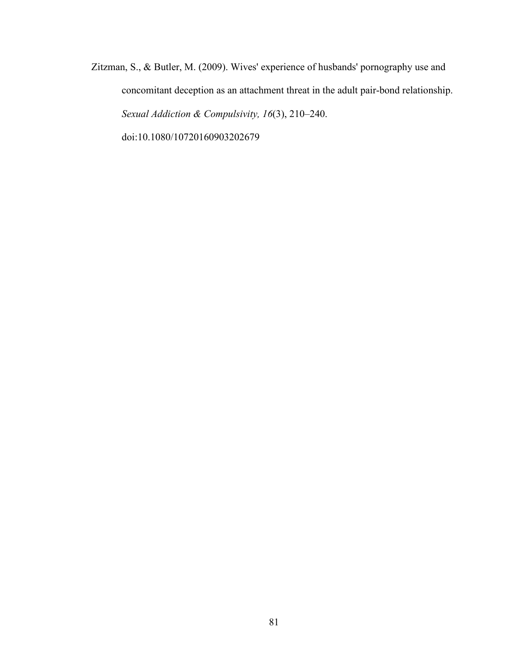Zitzman, S., & Butler, M. (2009). Wives' experience of husbands' pornography use and concomitant deception as an attachment threat in the adult pair-bond relationship. *Sexual Addiction & Compulsivity, 16*(3), 210–240. doi:10.1080/10720160903202679